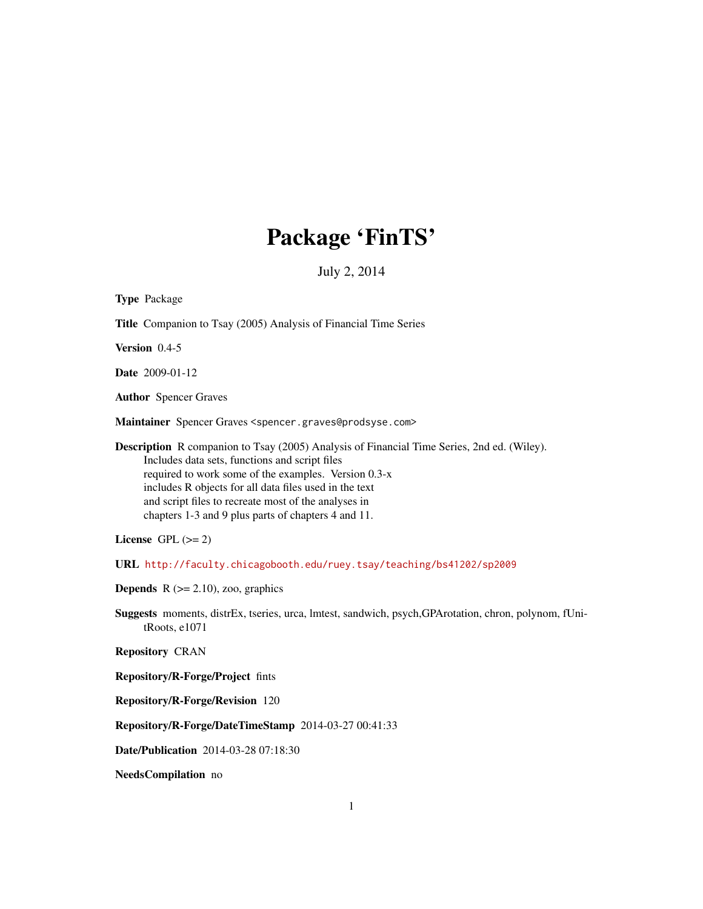# Package 'FinTS'

July 2, 2014

<span id="page-0-0"></span>

| <b>Type Package</b>                                                                                                                                                                                                                                                                                                                                                                  |
|--------------------------------------------------------------------------------------------------------------------------------------------------------------------------------------------------------------------------------------------------------------------------------------------------------------------------------------------------------------------------------------|
| Title Companion to Tsay (2005) Analysis of Financial Time Series                                                                                                                                                                                                                                                                                                                     |
| Version 0.4-5                                                                                                                                                                                                                                                                                                                                                                        |
| <b>Date</b> 2009-01-12                                                                                                                                                                                                                                                                                                                                                               |
| <b>Author</b> Spencer Graves                                                                                                                                                                                                                                                                                                                                                         |
| Maintainer Spencer Graves <spencer.graves@prodsyse.com></spencer.graves@prodsyse.com>                                                                                                                                                                                                                                                                                                |
| <b>Description</b> R companion to Tsay (2005) Analysis of Financial Time Series, 2nd ed. (Wiley).<br>Includes data sets, functions and script files<br>required to work some of the examples. Version 0.3-x<br>includes R objects for all data files used in the text<br>and script files to recreate most of the analyses in<br>chapters 1-3 and 9 plus parts of chapters 4 and 11. |
| License GPL $(>= 2)$                                                                                                                                                                                                                                                                                                                                                                 |
| URL http://faculty.chicagobooth.edu/ruey.tsay/teaching/bs41202/sp2009                                                                                                                                                                                                                                                                                                                |
| <b>Depends</b> $R$ ( $>= 2.10$ ), zoo, graphics                                                                                                                                                                                                                                                                                                                                      |
| Suggests moments, distrEx, tseries, urca, Imtest, sandwich, psych, GPArotation, chron, polynom, fUni-<br>tRoots, e1071                                                                                                                                                                                                                                                               |
| <b>Repository CRAN</b>                                                                                                                                                                                                                                                                                                                                                               |
| Repository/R-Forge/Project fints                                                                                                                                                                                                                                                                                                                                                     |
| Repository/R-Forge/Revision 120                                                                                                                                                                                                                                                                                                                                                      |
| Repository/R-Forge/DateTimeStamp 2014-03-27 00:41:33                                                                                                                                                                                                                                                                                                                                 |

Date/Publication 2014-03-28 07:18:30

NeedsCompilation no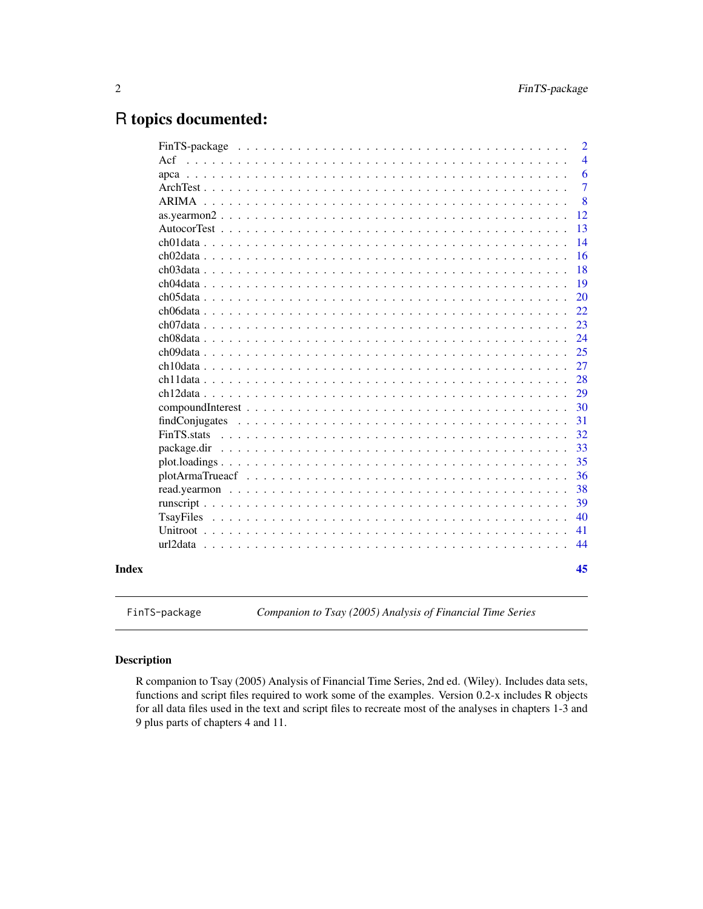# <span id="page-1-0"></span>R topics documented:

|     |                |  |  |  |  |  |  |  |  |  |  |  |  |  |  |  | $\overline{2}$ |
|-----|----------------|--|--|--|--|--|--|--|--|--|--|--|--|--|--|--|----------------|
| Act |                |  |  |  |  |  |  |  |  |  |  |  |  |  |  |  | $\overline{4}$ |
|     |                |  |  |  |  |  |  |  |  |  |  |  |  |  |  |  | 6              |
|     |                |  |  |  |  |  |  |  |  |  |  |  |  |  |  |  | $\overline{7}$ |
|     |                |  |  |  |  |  |  |  |  |  |  |  |  |  |  |  | 8              |
|     |                |  |  |  |  |  |  |  |  |  |  |  |  |  |  |  | 12             |
|     |                |  |  |  |  |  |  |  |  |  |  |  |  |  |  |  | 13             |
|     |                |  |  |  |  |  |  |  |  |  |  |  |  |  |  |  | 14             |
|     |                |  |  |  |  |  |  |  |  |  |  |  |  |  |  |  | 16             |
|     |                |  |  |  |  |  |  |  |  |  |  |  |  |  |  |  | 18             |
|     |                |  |  |  |  |  |  |  |  |  |  |  |  |  |  |  | 19             |
|     |                |  |  |  |  |  |  |  |  |  |  |  |  |  |  |  | 20             |
|     |                |  |  |  |  |  |  |  |  |  |  |  |  |  |  |  | 22             |
|     |                |  |  |  |  |  |  |  |  |  |  |  |  |  |  |  | 23             |
|     |                |  |  |  |  |  |  |  |  |  |  |  |  |  |  |  | 24             |
|     |                |  |  |  |  |  |  |  |  |  |  |  |  |  |  |  | 25             |
|     |                |  |  |  |  |  |  |  |  |  |  |  |  |  |  |  | 27             |
|     |                |  |  |  |  |  |  |  |  |  |  |  |  |  |  |  | 28             |
|     |                |  |  |  |  |  |  |  |  |  |  |  |  |  |  |  | 29             |
|     |                |  |  |  |  |  |  |  |  |  |  |  |  |  |  |  | 30             |
|     | findConjugates |  |  |  |  |  |  |  |  |  |  |  |  |  |  |  | 31             |
|     | FinTS stats    |  |  |  |  |  |  |  |  |  |  |  |  |  |  |  | 32             |
|     | package.dir    |  |  |  |  |  |  |  |  |  |  |  |  |  |  |  | 33             |
|     |                |  |  |  |  |  |  |  |  |  |  |  |  |  |  |  | 35             |
|     |                |  |  |  |  |  |  |  |  |  |  |  |  |  |  |  | 36             |
|     |                |  |  |  |  |  |  |  |  |  |  |  |  |  |  |  | 38             |
|     |                |  |  |  |  |  |  |  |  |  |  |  |  |  |  |  | 39             |
|     |                |  |  |  |  |  |  |  |  |  |  |  |  |  |  |  | 40             |
|     |                |  |  |  |  |  |  |  |  |  |  |  |  |  |  |  | 41             |
|     |                |  |  |  |  |  |  |  |  |  |  |  |  |  |  |  | 44             |
|     |                |  |  |  |  |  |  |  |  |  |  |  |  |  |  |  | 45             |
|     |                |  |  |  |  |  |  |  |  |  |  |  |  |  |  |  |                |

FinTS-package *Companion to Tsay (2005) Analysis of Financial Time Series*

# Description

R companion to Tsay (2005) Analysis of Financial Time Series, 2nd ed. (Wiley). Includes data sets, functions and script files required to work some of the examples. Version 0.2-x includes R objects for all data files used in the text and script files to recreate most of the analyses in chapters 1-3 and 9 plus parts of chapters 4 and 11.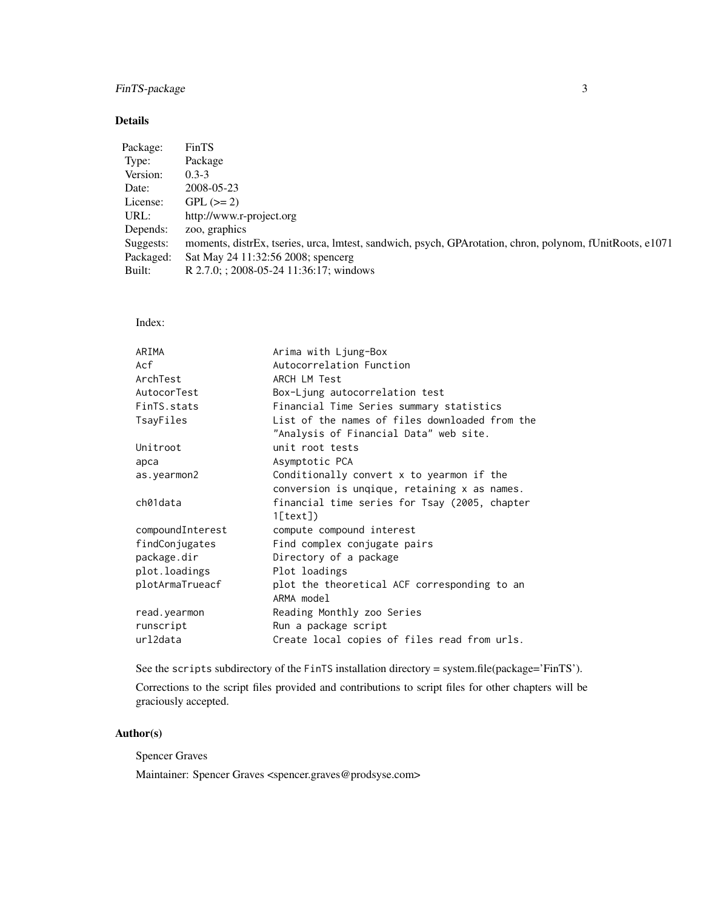# FinTS-package 3

# Details

| Package:  | FinTS                                                                                                    |
|-----------|----------------------------------------------------------------------------------------------------------|
| Type:     | Package                                                                                                  |
| Version:  | $0.3 - 3$                                                                                                |
| Date:     | 2008-05-23                                                                                               |
| License:  | $GPL (=2)$                                                                                               |
| URL:      | http://www.r-project.org                                                                                 |
| Depends:  | zoo, graphics                                                                                            |
| Suggests: | moments, distrEx, tseries, urca, Imtest, sandwich, psych, GPArotation, chron, polynom, fUnitRoots, e1071 |
| Packaged: | Sat May 24 11:32:56 2008; spencerg                                                                       |
| Built:    | R 2.7.0; ; 2008-05-24 11:36:17; windows                                                                  |
|           |                                                                                                          |

Index:

| ARIMA            | Arima with Ljung-Box                                                                     |
|------------------|------------------------------------------------------------------------------------------|
| Acf              | Autocorrelation Function                                                                 |
| ArchTest         | ARCH LM Test                                                                             |
| AutocorTest      | Box-Ljung autocorrelation test                                                           |
| FinTS.stats      | Financial Time Series summary statistics                                                 |
| TsayFiles        | List of the names of files downloaded from the<br>"Analysis of Financial Data" web site. |
| Unitroot         | unit root tests                                                                          |
| арса             | Asymptotic PCA                                                                           |
| as.yearmon2      | Conditionally convert x to yearmon if the                                                |
|                  | conversion is unqique, retaining x as names.                                             |
| ch01data         | financial time series for Tsay (2005, chapter<br>1[text]                                 |
| compoundInterest | compute compound interest                                                                |
| findConjugates   | Find complex conjugate pairs                                                             |
| package.dir      | Directory of a package                                                                   |
| plot.loadings    | Plot loadings                                                                            |
| plotArmaTrueacf  | plot the theoretical ACF corresponding to an<br>ARMA model                               |
| read.yearmon     | Reading Monthly zoo Series                                                               |
| runscript        | Run a package script                                                                     |
| url2data         | Create local copies of files read from urls.                                             |
|                  |                                                                                          |

See the scripts subdirectory of the FinTS installation directory = system.file(package='FinTS').

Corrections to the script files provided and contributions to script files for other chapters will be graciously accepted.

# Author(s)

Spencer Graves

Maintainer: Spencer Graves <spencer.graves@prodsyse.com>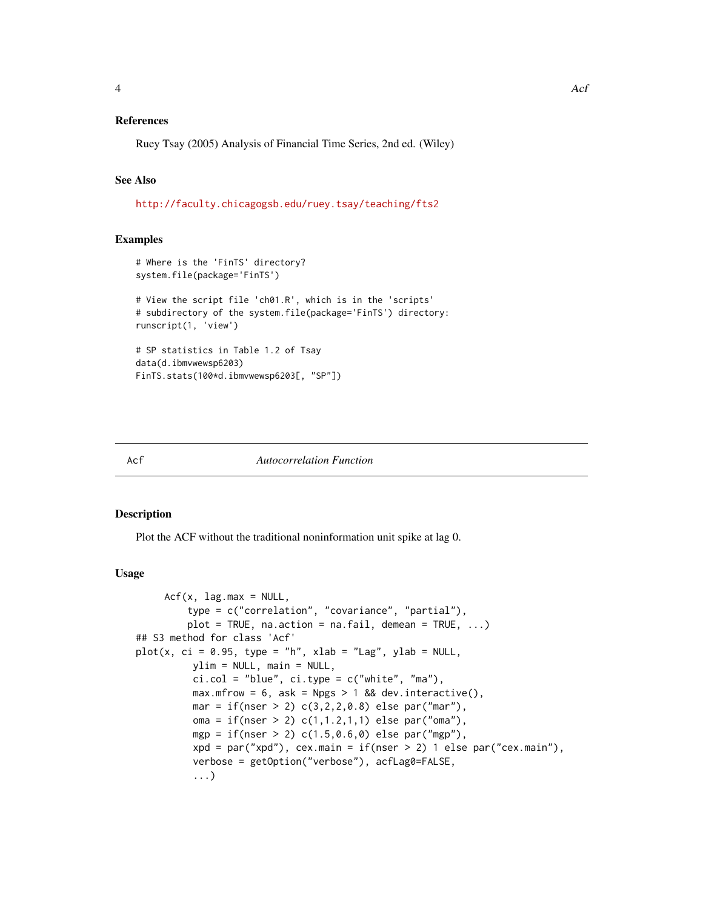# <span id="page-3-0"></span>References

Ruey Tsay (2005) Analysis of Financial Time Series, 2nd ed. (Wiley)

# See Also

[http://faculty.chicagogsb.edu/ruey.tsay/teaching/fts2]( http://faculty.chicagogsb.edu/ruey.tsay/teaching/fts2 )

#### Examples

```
# Where is the 'FinTS' directory?
system.file(package='FinTS')
# View the script file 'ch01.R', which is in the 'scripts'
# subdirectory of the system.file(package='FinTS') directory:
runscript(1, 'view')
# SP statistics in Table 1.2 of Tsay
data(d.ibmvwewsp6203)
FinTS.stats(100*d.ibmvwewsp6203[, "SP"])
```
#### Acf *Autocorrelation Function*

#### Description

Plot the ACF without the traditional noninformation unit spike at lag 0.

#### Usage

```
Acf(x, lag.max = NULL,type = c("correlation", "covariance", "partial"),
         plot = TRUE, na.action = na.fail, demean = TRUE, ...)## S3 method for class 'Acf'
plot(x, ci = 0.95, type = "h", xlab = "Lag", ylab = NULL,ylim = NULL, main = NULL,
          ci.col = "blue", ci.type = c("white", "ma"),
          max.mfrow = 6, ask = Npgs > 1 && dev.interactive(),
          mar = if(nser > 2) c(3, 2, 2, 0.8) else par("mar"),oma = if(nser > 2) c(1,1.2,1,1) else par("oma"),
          mgp = if(nser > 2) c(1.5, 0.6, 0) else par("mgp"),xpd = par("xpd"), cex.main = if(nser > 2) 1 else par("cex.main"),
          verbose = getOption("verbose"), acfLag0=FALSE,
          ...)
```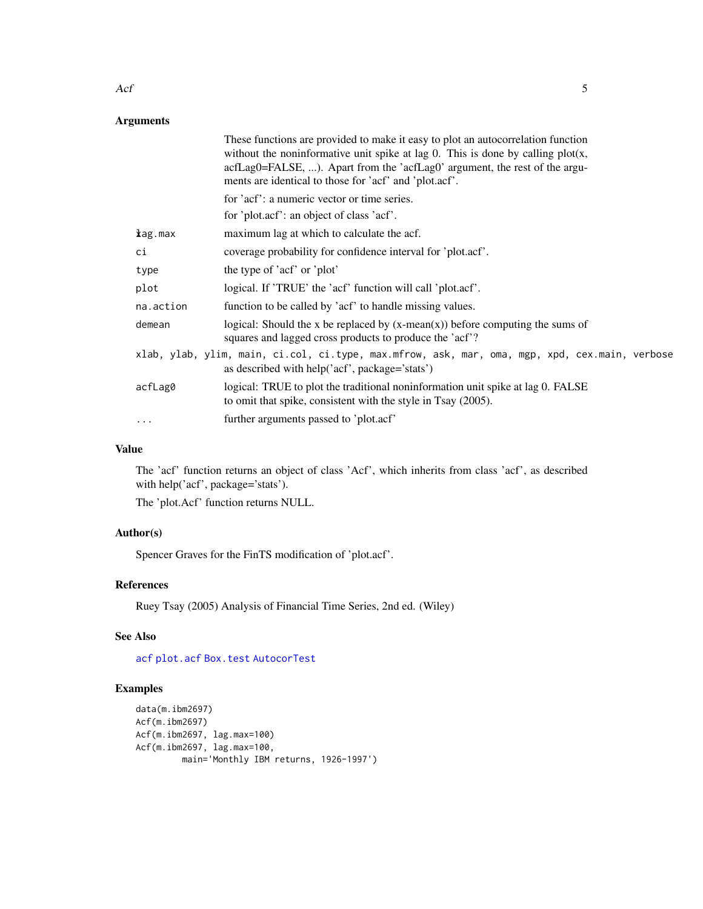# Arguments

|           | These functions are provided to make it easy to plot an autocorrelation function<br>without the noninformative unit spike at lag 0. This is done by calling $plot(x,$<br>acfLag0=FALSE, ). Apart from the 'acfLag0' argument, the rest of the argu-<br>ments are identical to those for 'acf' and 'plot.acf'. |
|-----------|---------------------------------------------------------------------------------------------------------------------------------------------------------------------------------------------------------------------------------------------------------------------------------------------------------------|
|           | for 'acf': a numeric vector or time series.                                                                                                                                                                                                                                                                   |
|           | for 'plot.acf': an object of class 'acf'.                                                                                                                                                                                                                                                                     |
| kag.max   | maximum lag at which to calculate the acf.                                                                                                                                                                                                                                                                    |
| сi        | coverage probability for confidence interval for 'plot.acf'.                                                                                                                                                                                                                                                  |
| type      | the type of 'acf' or 'plot'                                                                                                                                                                                                                                                                                   |
| plot      | logical. If 'TRUE' the 'acf' function will call 'plot.acf'.                                                                                                                                                                                                                                                   |
| na.action | function to be called by 'acf' to handle missing values.                                                                                                                                                                                                                                                      |
| demean    | logical: Should the x be replaced by $(x-mean(x))$ before computing the sums of<br>squares and lagged cross products to produce the 'acf'?                                                                                                                                                                    |
|           | xlab, ylab, ylim, main, ci.col, ci.type, max.mfrow, ask, mar, oma, mgp, xpd, cex.main, verbose<br>as described with help('acf', package='stats')                                                                                                                                                              |
| acfLag0   | logical: TRUE to plot the traditional noninformation unit spike at lag 0. FALSE<br>to omit that spike, consistent with the style in Tsay (2005).                                                                                                                                                              |
| $\cdots$  | further arguments passed to 'plot.acf'                                                                                                                                                                                                                                                                        |

# Value

The 'acf' function returns an object of class 'Acf', which inherits from class 'acf', as described with help('acf', package='stats').

The 'plot.Acf' function returns NULL.

# Author(s)

Spencer Graves for the FinTS modification of 'plot.acf'.

# References

Ruey Tsay (2005) Analysis of Financial Time Series, 2nd ed. (Wiley)

# See Also

[acf](#page-0-0) [plot.acf](#page-0-0) [Box.test](#page-0-0) [AutocorTest](#page-12-1)

# Examples

```
data(m.ibm2697)
Acf(m.ibm2697)
Acf(m.ibm2697, lag.max=100)
Acf(m.ibm2697, lag.max=100,
        main='Monthly IBM returns, 1926-1997')
```
<span id="page-4-0"></span> $Acf$  5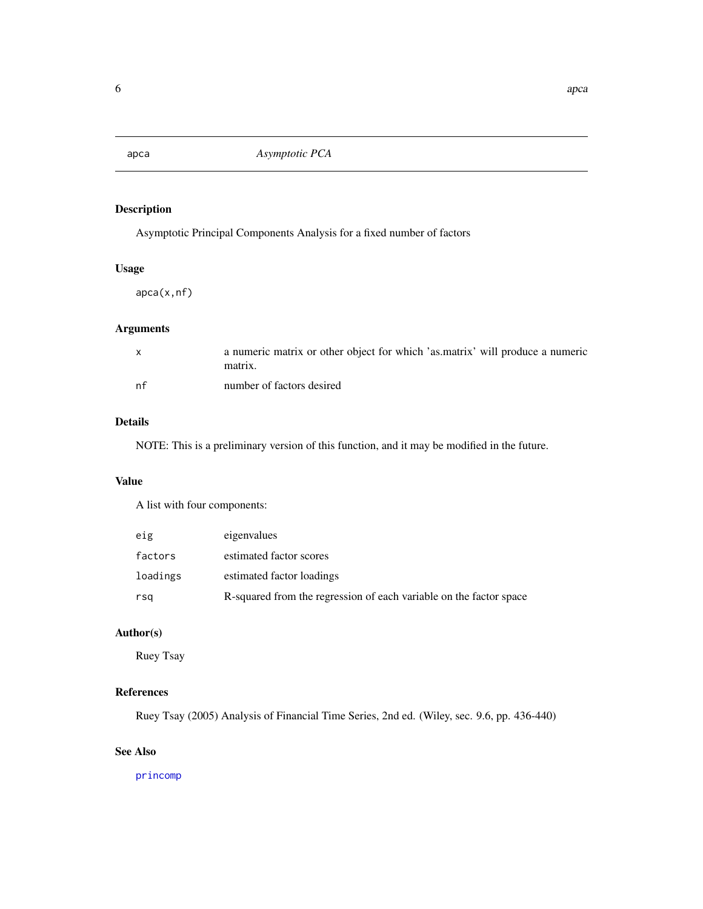<span id="page-5-0"></span>

# Description

Asymptotic Principal Components Analysis for a fixed number of factors

# Usage

apca(x,nf)

# Arguments

|    | a numeric matrix or other object for which 'as matrix' will produce a numeric<br>matrix. |
|----|------------------------------------------------------------------------------------------|
| nf | number of factors desired                                                                |

# Details

NOTE: This is a preliminary version of this function, and it may be modified in the future.

# Value

A list with four components:

| eig      | eigenvalues                                                        |
|----------|--------------------------------------------------------------------|
| factors  | estimated factor scores                                            |
| loadings | estimated factor loadings                                          |
| rsa      | R-squared from the regression of each variable on the factor space |

# Author(s)

Ruey Tsay

# References

Ruey Tsay (2005) Analysis of Financial Time Series, 2nd ed. (Wiley, sec. 9.6, pp. 436-440)

# See Also

[princomp](#page-0-0)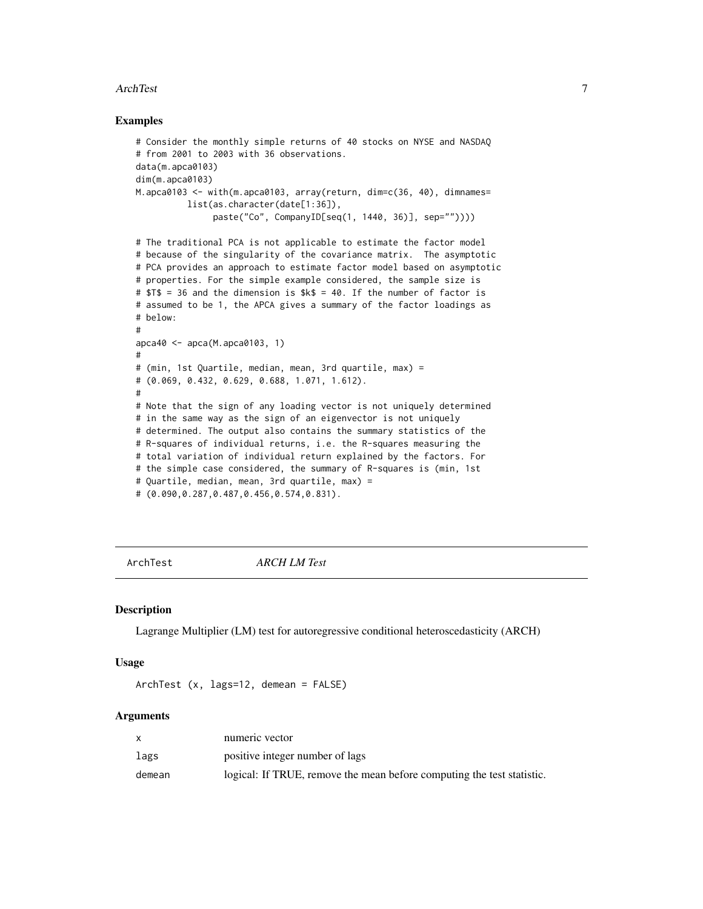#### <span id="page-6-0"></span>ArchTest 7

#### Examples

```
# Consider the monthly simple returns of 40 stocks on NYSE and NASDAQ
# from 2001 to 2003 with 36 observations.
data(m.apca0103)
dim(m.apca0103)
M.apca0103 <- with(m.apca0103, array(return, dim=c(36, 40), dimnames=
          list(as.character(date[1:36]),
               paste("Co", CompanyID[seq(1, 1440, 36)], sep=""))))
# The traditional PCA is not applicable to estimate the factor model
# because of the singularity of the covariance matrix. The asymptotic
# PCA provides an approach to estimate factor model based on asymptotic
# properties. For the simple example considered, the sample size is
# $T$ = 36 and the dimension is $k$ = 40. If the number of factor is
# assumed to be 1, the APCA gives a summary of the factor loadings as
# below:
#
apca40 < -apca(M.apca0103, 1)#
# (min, 1st Quartile, median, mean, 3rd quartile, max) =
# (0.069, 0.432, 0.629, 0.688, 1.071, 1.612).
#
# Note that the sign of any loading vector is not uniquely determined
# in the same way as the sign of an eigenvector is not uniquely
# determined. The output also contains the summary statistics of the
# R-squares of individual returns, i.e. the R-squares measuring the
# total variation of individual return explained by the factors. For
# the simple case considered, the summary of R-squares is (min, 1st
# Quartile, median, mean, 3rd quartile, max) =
# (0.090,0.287,0.487,0.456,0.574,0.831).
```
ArchTest *ARCH LM Test*

#### Description

Lagrange Multiplier (LM) test for autoregressive conditional heteroscedasticity (ARCH)

### Usage

```
ArchTest (x, lags=12, demean = FALSE)
```
#### Arguments

|        | numeric vector                                                         |
|--------|------------------------------------------------------------------------|
| lags   | positive integer number of lags                                        |
| demean | logical: If TRUE, remove the mean before computing the test statistic. |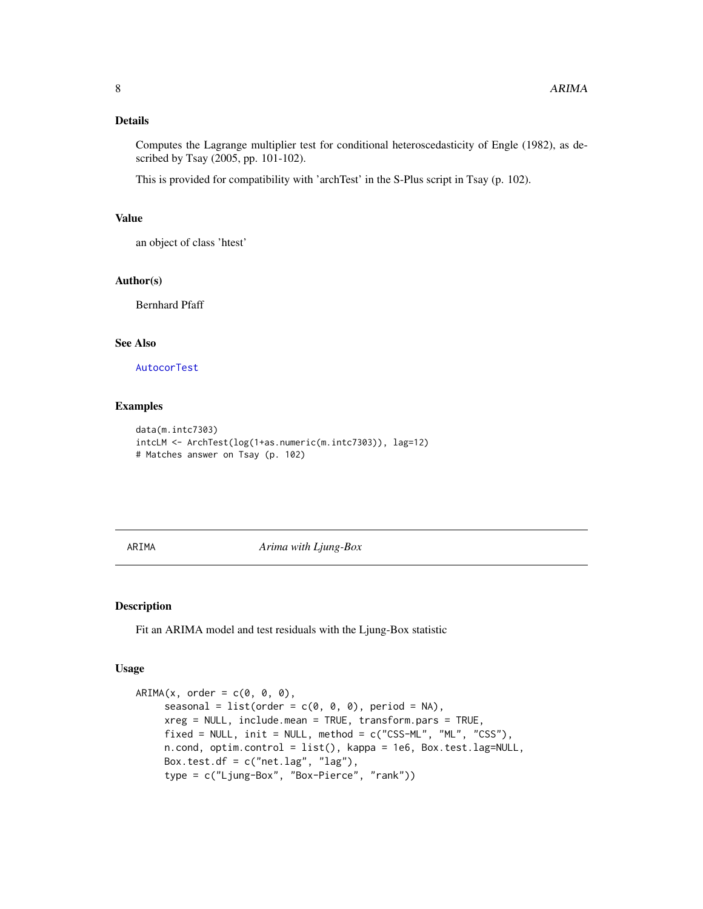# <span id="page-7-0"></span>Details

Computes the Lagrange multiplier test for conditional heteroscedasticity of Engle (1982), as described by Tsay (2005, pp. 101-102).

This is provided for compatibility with 'archTest' in the S-Plus script in Tsay (p. 102).

#### Value

an object of class 'htest'

#### Author(s)

Bernhard Pfaff

# See Also

[AutocorTest](#page-12-1)

# Examples

```
data(m.intc7303)
intcLM <- ArchTest(log(1+as.numeric(m.intc7303)), lag=12)
# Matches answer on Tsay (p. 102)
```
<span id="page-7-1"></span>ARIMA *Arima with Ljung-Box*

# Description

Fit an ARIMA model and test residuals with the Ljung-Box statistic

#### Usage

```
ARIMA(x, order = c(0, 0, 0),seasonal = list(order = c(0, 0, 0), period = NA),
    xreg = NULL, include.mean = TRUE, transform.pars = TRUE,
    fixed = NULL, init = NULL, method = c("CSS-ML", "ML", "CSS"),n.cond, optim.control = list(), kappa = 1e6, Box.test.lag=NULL,
    Box.test.df = c("net.lag", "lag"),type = c("Ljung-Box", "Box-Pierce", "rank"))
```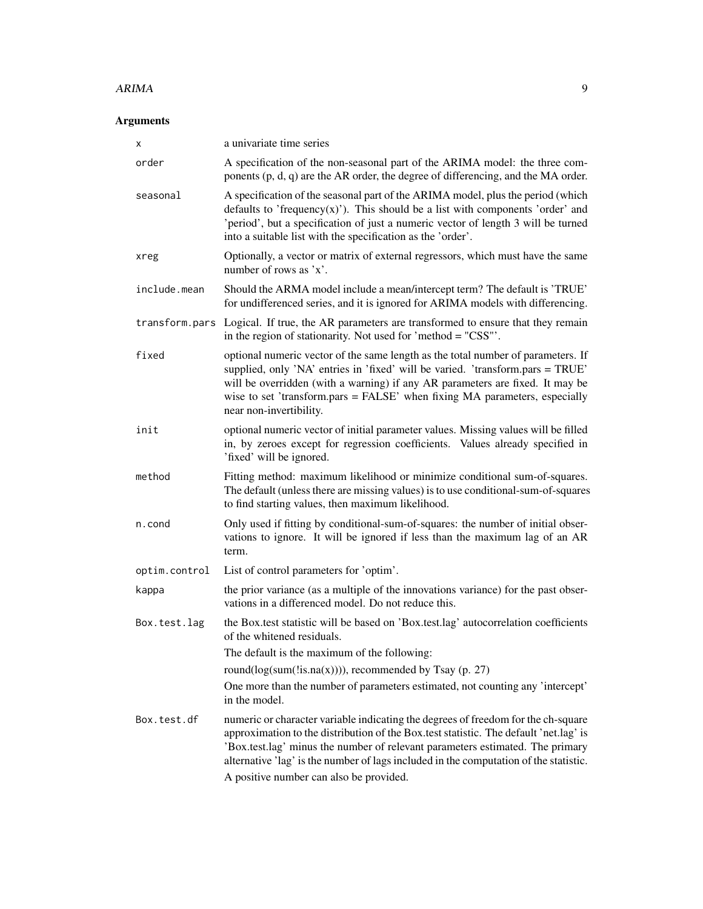#### ARIMA 2008 - 2009 - 2009 - 2009 - 2009 - 2009 - 2009 - 2009 - 2009 - 2009 - 2009 - 2009 - 2009 - 2009 - 2009 -

# Arguments

| х              | a univariate time series                                                                                                                                                                                                                                                                                                                                                                        |
|----------------|-------------------------------------------------------------------------------------------------------------------------------------------------------------------------------------------------------------------------------------------------------------------------------------------------------------------------------------------------------------------------------------------------|
| order          | A specification of the non-seasonal part of the ARIMA model: the three com-<br>ponents $(p, d, q)$ are the AR order, the degree of differencing, and the MA order.                                                                                                                                                                                                                              |
| seasonal       | A specification of the seasonal part of the ARIMA model, plus the period (which<br>defaults to 'frequency(x)'). This should be a list with components 'order' and<br>'period', but a specification of just a numeric vector of length 3 will be turned<br>into a suitable list with the specification as the 'order'.                                                                           |
| xreg           | Optionally, a vector or matrix of external regressors, which must have the same<br>number of rows as $x'$ .                                                                                                                                                                                                                                                                                     |
| include.mean   | Should the ARMA model include a mean/intercept term? The default is 'TRUE'<br>for undifferenced series, and it is ignored for ARIMA models with differencing.                                                                                                                                                                                                                                   |
| transform.pars | Logical. If true, the AR parameters are transformed to ensure that they remain<br>in the region of stationarity. Not used for 'method = "CSS"'.                                                                                                                                                                                                                                                 |
| fixed          | optional numeric vector of the same length as the total number of parameters. If<br>supplied, only 'NA' entries in 'fixed' will be varied. 'transform.pars = TRUE'<br>will be overridden (with a warning) if any AR parameters are fixed. It may be<br>wise to set 'transform.pars = FALSE' when fixing MA parameters, especially<br>near non-invertibility.                                    |
| init           | optional numeric vector of initial parameter values. Missing values will be filled<br>in, by zeroes except for regression coefficients. Values already specified in<br>'fixed' will be ignored.                                                                                                                                                                                                 |
| method         | Fitting method: maximum likelihood or minimize conditional sum-of-squares.<br>The default (unless there are missing values) is to use conditional-sum-of-squares<br>to find starting values, then maximum likelihood.                                                                                                                                                                           |
| n.cond         | Only used if fitting by conditional-sum-of-squares: the number of initial obser-<br>vations to ignore. It will be ignored if less than the maximum lag of an AR<br>term.                                                                                                                                                                                                                        |
| optim.control  | List of control parameters for 'optim'.                                                                                                                                                                                                                                                                                                                                                         |
| kappa          | the prior variance (as a multiple of the innovations variance) for the past obser-<br>vations in a differenced model. Do not reduce this.                                                                                                                                                                                                                                                       |
| Box.test.lag   | the Box.test statistic will be based on 'Box.test.lag' autocorrelation coefficients<br>of the whitened residuals.                                                                                                                                                                                                                                                                               |
|                | The default is the maximum of the following:                                                                                                                                                                                                                                                                                                                                                    |
|                | round( $log(sum(!is, na(x))))$ ), recommended by Tsay (p. 27)                                                                                                                                                                                                                                                                                                                                   |
|                | One more than the number of parameters estimated, not counting any 'intercept'<br>in the model.                                                                                                                                                                                                                                                                                                 |
| Box.test.df    | numeric or character variable indicating the degrees of freedom for the ch-square<br>approximation to the distribution of the Box.test statistic. The default 'net.lag' is<br>'Box.test.lag' minus the number of relevant parameters estimated. The primary<br>alternative 'lag' is the number of lags included in the computation of the statistic.<br>A positive number can also be provided. |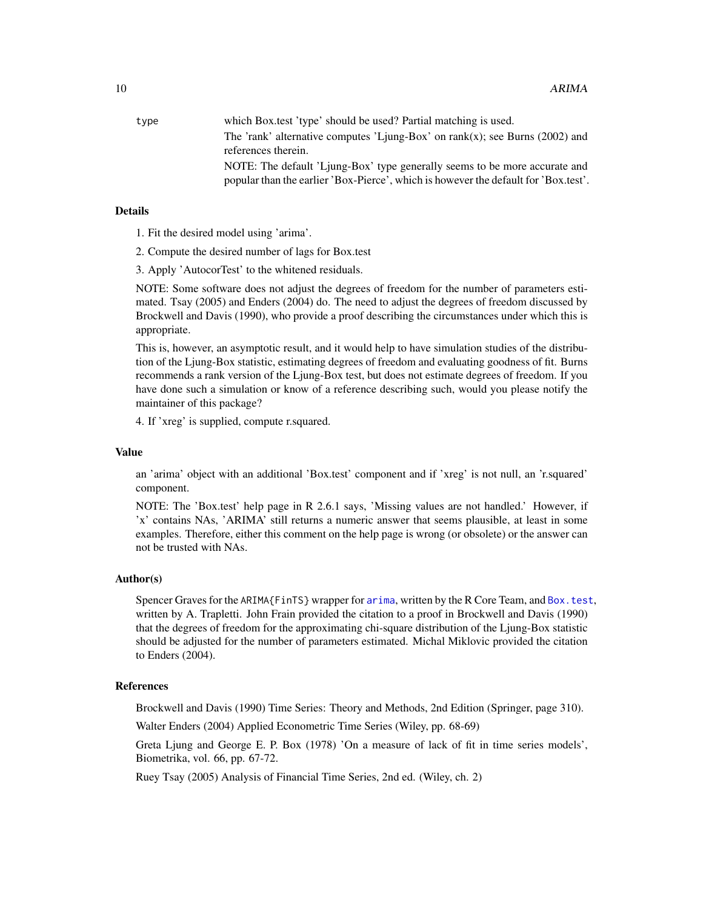<span id="page-9-0"></span>

| type | which Box test 'type' should be used? Partial matching is used.                     |
|------|-------------------------------------------------------------------------------------|
|      | The 'rank' alternative computes 'Ljung-Box' on $rank(x)$ ; see Burns (2002) and     |
|      | references therein.                                                                 |
|      | NOTE: The default 'Ljung-Box' type generally seems to be more accurate and          |
|      | popular than the earlier 'Box-Pierce', which is however the default for 'Box.test'. |

#### Details

1. Fit the desired model using 'arima'.

- 2. Compute the desired number of lags for Box.test
- 3. Apply 'AutocorTest' to the whitened residuals.

NOTE: Some software does not adjust the degrees of freedom for the number of parameters estimated. Tsay (2005) and Enders (2004) do. The need to adjust the degrees of freedom discussed by Brockwell and Davis (1990), who provide a proof describing the circumstances under which this is appropriate.

This is, however, an asymptotic result, and it would help to have simulation studies of the distribution of the Ljung-Box statistic, estimating degrees of freedom and evaluating goodness of fit. Burns recommends a rank version of the Ljung-Box test, but does not estimate degrees of freedom. If you have done such a simulation or know of a reference describing such, would you please notify the maintainer of this package?

4. If 'xreg' is supplied, compute r.squared.

#### Value

an 'arima' object with an additional 'Box.test' component and if 'xreg' is not null, an 'r.squared' component.

NOTE: The 'Box.test' help page in R 2.6.1 says, 'Missing values are not handled.' However, if 'x' contains NAs, 'ARIMA' still returns a numeric answer that seems plausible, at least in some examples. Therefore, either this comment on the help page is wrong (or obsolete) or the answer can not be trusted with NAs.

#### Author(s)

Spencer Graves for the ARIMA{FinTS} wrapper for [arima](#page-0-0), written by the R Core Team, and [Box.test](#page-0-0), written by A. Trapletti. John Frain provided the citation to a proof in Brockwell and Davis (1990) that the degrees of freedom for the approximating chi-square distribution of the Ljung-Box statistic should be adjusted for the number of parameters estimated. Michal Miklovic provided the citation to Enders (2004).

#### References

Brockwell and Davis (1990) Time Series: Theory and Methods, 2nd Edition (Springer, page 310).

Walter Enders (2004) Applied Econometric Time Series (Wiley, pp. 68-69)

Greta Ljung and George E. P. Box (1978) 'On a measure of lack of fit in time series models', Biometrika, vol. 66, pp. 67-72.

Ruey Tsay (2005) Analysis of Financial Time Series, 2nd ed. (Wiley, ch. 2)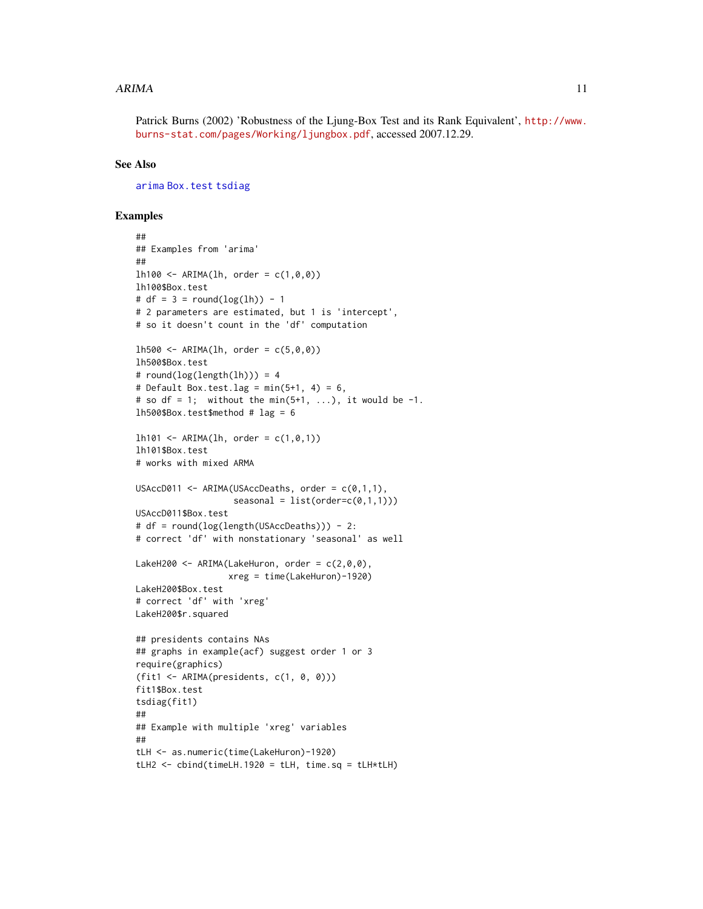#### <span id="page-10-0"></span> $ARIMA$  11

Patrick Burns (2002) 'Robustness of the Ljung-Box Test and its Rank Equivalent', [http://www.](http://www.burns-stat.com/pages/Working/ljungbox.pdf) [burns-stat.com/pages/Working/ljungbox.pdf](http://www.burns-stat.com/pages/Working/ljungbox.pdf), accessed 2007.12.29.

# See Also

[arima](#page-0-0) [Box.test](#page-0-0) [tsdiag](#page-0-0)

# Examples

```
##
## Examples from 'arima'
##
1h100 \leq ARIMA(1h, order = c(1, 0, 0))lh100$Box.test
# df = 3 = round(log(lh)) - 1
# 2 parameters are estimated, but 1 is 'intercept',
# so it doesn't count in the 'df' computation
1h500 \le - ARIMA(1h, order = c(5, 0, 0))
lh500$Box.test
# round(log(length(lh))) = 4# Default Box.test.lag = min(5+1, 4) = 6,
# so df = 1; without the min(5+1, ...), it would be -1.
lh500$Box.test$method # lag = 61h101 <- ARIMA(1h, order = c(1, 0, 1))
lh101$Box.test
# works with mixed ARMA
USAccD011 <- ARIMA(USAccDeaths, order = c(0,1,1),
                   seasonal = list(order=c(0,1,1)))USAccD011$Box.test
# df = round(log(length(USAccDeaths))) - 2:
# correct 'df' with nonstationary 'seasonal' as well
LakeH200 <- ARIMA(LakeHuron, order = c(2,0,0),
                  xreg = time(LakeHuron)-1920)
LakeH200$Box.test
# correct 'df' with 'xreg'
LakeH200$r.squared
## presidents contains NAs
## graphs in example(acf) suggest order 1 or 3
require(graphics)
(fit1 <- ARIMA(presidents, c(1, 0, 0)))
fit1$Box.test
tsdiag(fit1)
##
## Example with multiple 'xreg' variables
##
tLH <- as.numeric(time(LakeHuron)-1920)
tLH2 \leftarrow cbind(timeLH.1920 = tLH, time.sq = tLH*tLH)
```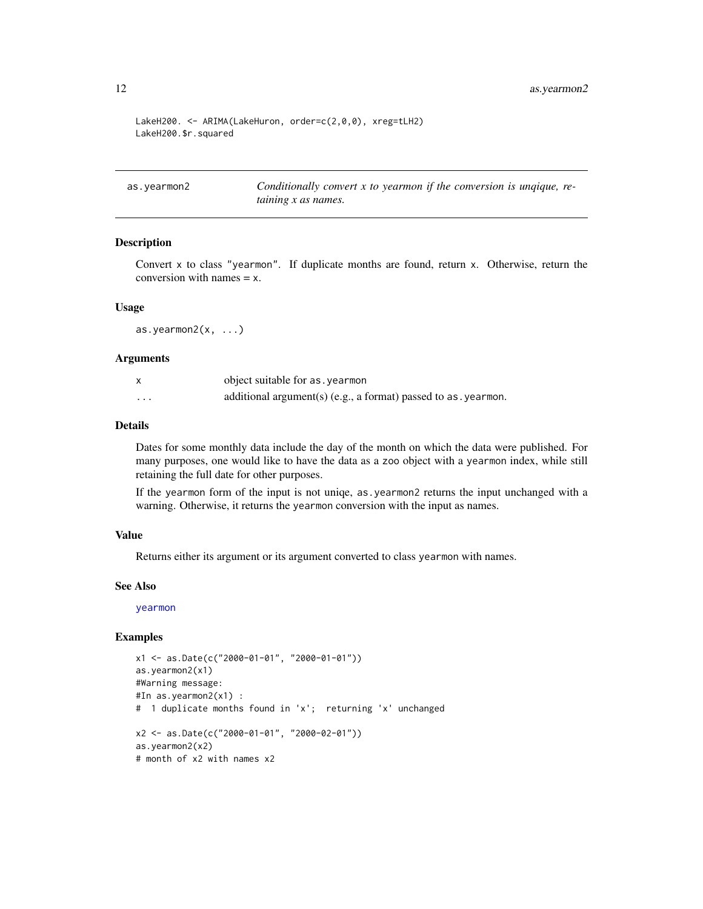```
LakeH200. <- ARIMA(LakeHuron, order=c(2,0,0), xreg=tLH2)
LakeH200.$r.squared
```
<span id="page-11-1"></span>as.yearmon2 *Conditionally convert x to yearmon if the conversion is unqique, retaining x as names.*

#### Description

Convert x to class "yearmon". If duplicate months are found, return x. Otherwise, return the conversion with names  $= x$ .

#### Usage

as.yearmon $2(x, \ldots)$ 

# Arguments

|   | object suitable for as, yearmon                                        |
|---|------------------------------------------------------------------------|
| . | additional argument(s) (e.g., a format) passed to as $\alpha$ yearmon. |

# Details

Dates for some monthly data include the day of the month on which the data were published. For many purposes, one would like to have the data as a zoo object with a yearmon index, while still retaining the full date for other purposes.

If the yearmon form of the input is not uniqe, as.yearmon2 returns the input unchanged with a warning. Otherwise, it returns the yearmon conversion with the input as names.

#### Value

Returns either its argument or its argument converted to class yearmon with names.

# See Also

[yearmon](#page-0-0)

#### Examples

```
x1 <- as.Date(c("2000-01-01", "2000-01-01"))
as.yearmon2(x1)
#Warning message:
#In as.yearmon2(x1) :
# 1 duplicate months found in 'x'; returning 'x' unchanged
x2 <- as.Date(c("2000-01-01", "2000-02-01"))
as.yearmon2(x2)
# month of x2 with names x2
```
<span id="page-11-0"></span>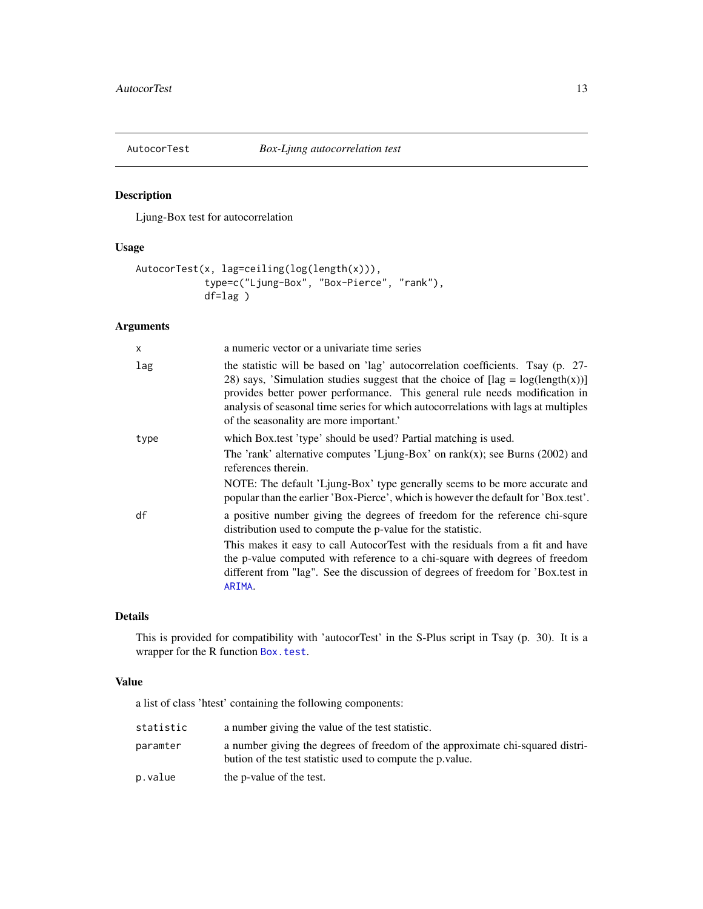<span id="page-12-1"></span><span id="page-12-0"></span>

# Description

Ljung-Box test for autocorrelation

# Usage

```
AutocorTest(x, lag=ceiling(log(length(x))),
            type=c("Ljung-Box", "Box-Pierce", "rank"),
            df=lag )
```
# Arguments

| X    | a numeric vector or a univariate time series                                                                                                                                                                                                                                                                                                                                       |
|------|------------------------------------------------------------------------------------------------------------------------------------------------------------------------------------------------------------------------------------------------------------------------------------------------------------------------------------------------------------------------------------|
| lag  | the statistic will be based on 'lag' autocorrelation coefficients. Tsay (p. 27-<br>28) says, 'Simulation studies suggest that the choice of $[lag = log(length(x))]$<br>provides better power performance. This general rule needs modification in<br>analysis of seasonal time series for which autocorrelations with lags at multiples<br>of the seasonality are more important. |
| type | which Box.test 'type' should be used? Partial matching is used.                                                                                                                                                                                                                                                                                                                    |
|      | The 'rank' alternative computes 'Ljung-Box' on $rank(x)$ ; see Burns (2002) and<br>references therein.                                                                                                                                                                                                                                                                             |
|      | NOTE: The default 'Ljung-Box' type generally seems to be more accurate and<br>popular than the earlier 'Box-Pierce', which is however the default for 'Box.test'.                                                                                                                                                                                                                  |
| df   | a positive number giving the degrees of freedom for the reference chi-squre<br>distribution used to compute the p-value for the statistic.                                                                                                                                                                                                                                         |
|      | This makes it easy to call AutocorTest with the residuals from a fit and have<br>the p-value computed with reference to a chi-square with degrees of freedom<br>different from "lag". See the discussion of degrees of freedom for 'Box.test in<br>ARIMA.                                                                                                                          |

# Details

This is provided for compatibility with 'autocorTest' in the S-Plus script in Tsay (p. 30). It is a wrapper for the R function [Box.test](#page-0-0).

# Value

a list of class 'htest' containing the following components:

| statistic | a number giving the value of the test statistic.                                                                                           |
|-----------|--------------------------------------------------------------------------------------------------------------------------------------------|
| paramter  | a number giving the degrees of freedom of the approximate chi-squared distri-<br>bution of the test statistic used to compute the p value. |
| p.value   | the p-value of the test.                                                                                                                   |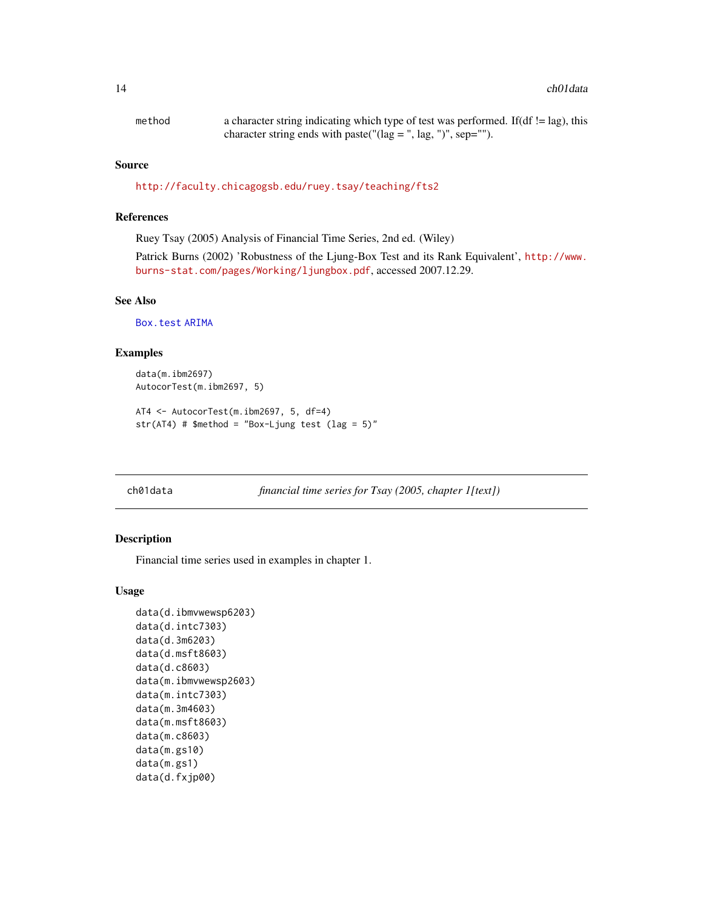<span id="page-13-0"></span>

| method | a character string indicating which type of test was performed. If $(df \leq lag)$ , this                                   |
|--------|-----------------------------------------------------------------------------------------------------------------------------|
|        | character string ends with paste( $\lceil (\log = \cdot \rceil, \log, \cdot \rceil) \rceil$ , sep= $\lceil \cdot \rceil$ ). |

#### Source

[http://faculty.chicagogsb.edu/ruey.tsay/teaching/fts2]( http://faculty.chicagogsb.edu/ruey.tsay/teaching/fts2 )

# References

Ruey Tsay (2005) Analysis of Financial Time Series, 2nd ed. (Wiley)

Patrick Burns (2002) 'Robustness of the Ljung-Box Test and its Rank Equivalent', [http://www.](http://www.burns-stat.com/pages/Working/ljungbox.pdf) [burns-stat.com/pages/Working/ljungbox.pdf](http://www.burns-stat.com/pages/Working/ljungbox.pdf), accessed 2007.12.29.

# See Also

[Box.test](#page-0-0) [ARIMA](#page-7-1)

# Examples

```
data(m.ibm2697)
AutocorTest(m.ibm2697, 5)
```

```
AT4 <- AutocorTest(m.ibm2697, 5, df=4)
str(AT4) # $method = "Box-Ljung test (lag = 5)"
```
<span id="page-13-1"></span>ch01data *financial time series for Tsay (2005, chapter 1[text])*

#### Description

Financial time series used in examples in chapter 1.

#### Usage

```
data(d.ibmvwewsp6203)
data(d.intc7303)
data(d.3m6203)
data(d.msft8603)
data(d.c8603)
data(m.ibmvwewsp2603)
data(m.intc7303)
data(m.3m4603)
data(m.msft8603)
data(m.c8603)
data(m.gs10)
data(m.gs1)
data(d.fxjp00)
```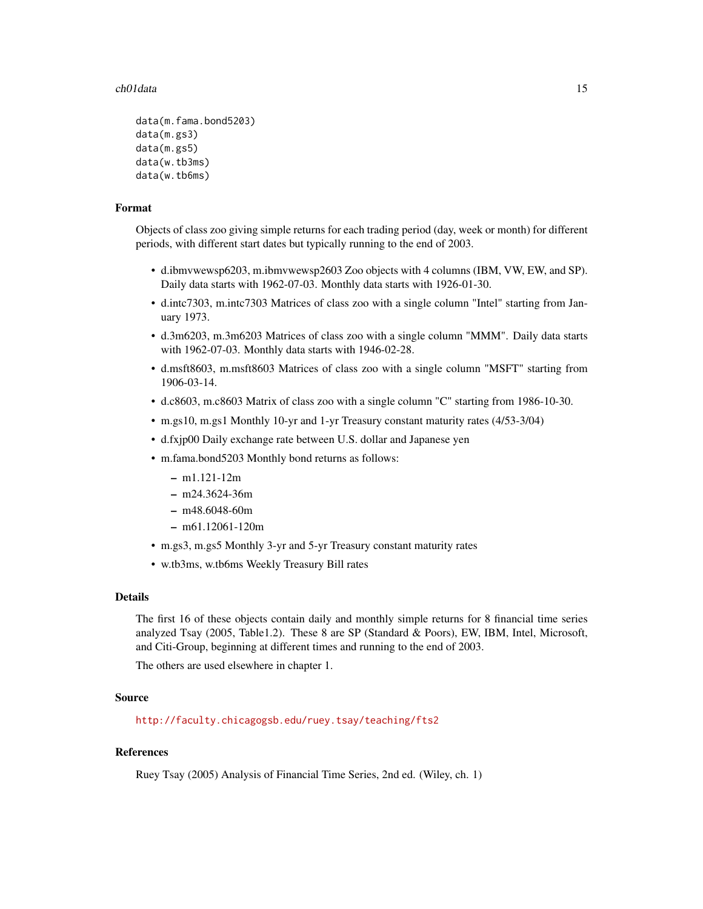#### ch01data 15

```
data(m.fama.bond5203)
data(m.gs3)
data(m.gs5)
data(w.tb3ms)
data(w.tb6ms)
```
#### Format

Objects of class zoo giving simple returns for each trading period (day, week or month) for different periods, with different start dates but typically running to the end of 2003.

- d.ibmvwewsp6203, m.ibmvwewsp2603 Zoo objects with 4 columns (IBM, VW, EW, and SP). Daily data starts with 1962-07-03. Monthly data starts with 1926-01-30.
- d.intc7303, m.intc7303 Matrices of class zoo with a single column "Intel" starting from January 1973.
- d.3m6203, m.3m6203 Matrices of class zoo with a single column "MMM". Daily data starts with 1962-07-03. Monthly data starts with 1946-02-28.
- d.msft8603, m.msft8603 Matrices of class zoo with a single column "MSFT" starting from 1906-03-14.
- d.c8603, m.c8603 Matrix of class zoo with a single column "C" starting from 1986-10-30.
- m.gs10, m.gs1 Monthly 10-yr and 1-yr Treasury constant maturity rates (4/53-3/04)
- d.fxjp00 Daily exchange rate between U.S. dollar and Japanese yen
- m.fama.bond5203 Monthly bond returns as follows:
	- m1.121-12m
	- m24.3624-36m
	- m48.6048-60m
	- m61.12061-120m
- m.gs3, m.gs5 Monthly 3-yr and 5-yr Treasury constant maturity rates
- w.tb3ms, w.tb6ms Weekly Treasury Bill rates

#### Details

The first 16 of these objects contain daily and monthly simple returns for 8 financial time series analyzed Tsay (2005, Table1.2). These 8 are SP (Standard & Poors), EW, IBM, Intel, Microsoft, and Citi-Group, beginning at different times and running to the end of 2003.

The others are used elsewhere in chapter 1.

# Source

[http://faculty.chicagogsb.edu/ruey.tsay/teaching/fts2]( http://faculty.chicagogsb.edu/ruey.tsay/teaching/fts2 )

# References

Ruey Tsay (2005) Analysis of Financial Time Series, 2nd ed. (Wiley, ch. 1)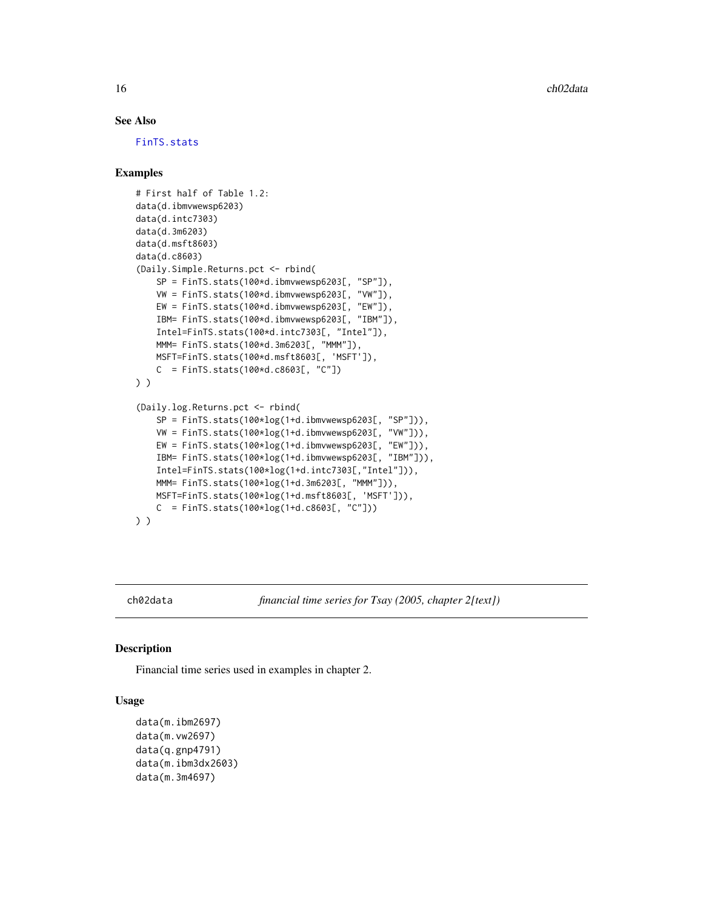#### See Also

[FinTS.stats](#page-31-1)

# Examples

```
# First half of Table 1.2:
data(d.ibmvwewsp6203)
data(d.intc7303)
data(d.3m6203)
data(d.msft8603)
data(d.c8603)
(Daily.Simple.Returns.pct <- rbind(
   SP = FinTS.stats(100*d.ibmvwewsp6203[, "SP"]),
   VW = FinTS.stats(100*d.ibmvwewsp6203[, "VW"]),
   EW = FinTS.stats(100*d.ibmvwewsp6203[, "EW"]),
   IBM= FinTS.stats(100*d.ibmvwewsp6203[, "IBM"]),
    Intel=FinTS.stats(100*d.intc7303[, "Intel"]),
   MMM= FinTS.stats(100*d.3m6203[, "MMM"]),
   MSFT=FinTS.stats(100*d.msft8603[, 'MSFT']),
   C = FinTS.stats(100*d.c8603[, "C"])) )
(Daily.log.Returns.pct <- rbind(
    SP = FinTS.stats(100*log(1+d.inbwewsp6203[, "SP"])),VW = FinTS.stats(100*log(1+d.ibmvwewsp6203[, "VW"])),
   EW = FinTS.stats(100*log(1+d.ibmvwewsp6203[, "EW"])),
   IBM= FinTS.stats(100*log(1+d.ibmvwewsp6203[, "IBM"])),
   Intel=FinTS.stats(100*log(1+d.intc7303[,"Intel"])),
   MMM= FinTS.stats(100*log(1+d.3m6203[, "MMM"])),
   MSFT=FinTS.stats(100*log(1+d.msft8603[, 'MSFT'])),
   C = FinTS.stats(100*log(1+d.c8603[, "C"])) )
```
<span id="page-15-1"></span>

ch02data *financial time series for Tsay (2005, chapter 2[text])*

#### Description

Financial time series used in examples in chapter 2.

# Usage

```
data(m.ibm2697)
data(m.vw2697)
data(q.gnp4791)
data(m.ibm3dx2603)
data(m.3m4697)
```
<span id="page-15-0"></span>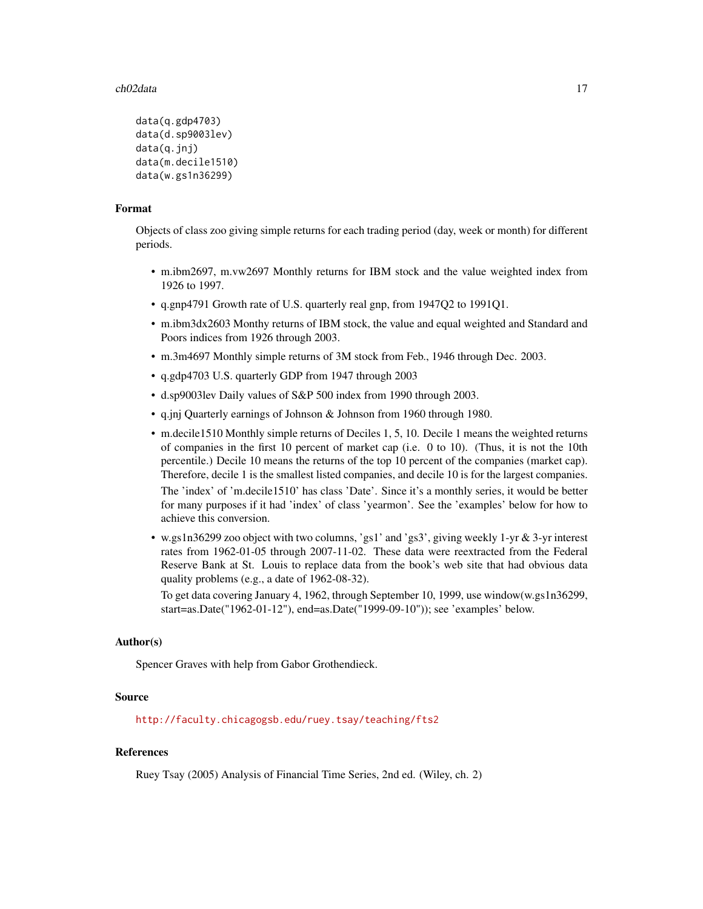#### ch02data 17

```
data(q.gdp4703)
data(d.sp9003lev)
data(q.jnj)
data(m.decile1510)
data(w.gs1n36299)
```
### Format

Objects of class zoo giving simple returns for each trading period (day, week or month) for different periods.

- m.ibm2697, m.vw2697 Monthly returns for IBM stock and the value weighted index from 1926 to 1997.
- q.gnp4791 Growth rate of U.S. quarterly real gnp, from 1947Q2 to 1991Q1.
- m.ibm3dx2603 Monthy returns of IBM stock, the value and equal weighted and Standard and Poors indices from 1926 through 2003.
- m.3m4697 Monthly simple returns of 3M stock from Feb., 1946 through Dec. 2003.
- q.gdp4703 U.S. quarterly GDP from 1947 through 2003
- d.sp9003lev Daily values of S&P 500 index from 1990 through 2003.
- q.jnj Quarterly earnings of Johnson & Johnson from 1960 through 1980.
- m.decile1510 Monthly simple returns of Deciles 1, 5, 10. Decile 1 means the weighted returns of companies in the first 10 percent of market cap (i.e. 0 to 10). (Thus, it is not the 10th percentile.) Decile 10 means the returns of the top 10 percent of the companies (market cap). Therefore, decile 1 is the smallest listed companies, and decile 10 is for the largest companies. The 'index' of 'm.decile1510' has class 'Date'. Since it's a monthly series, it would be better for many purposes if it had 'index' of class 'yearmon'. See the 'examples' below for how to achieve this conversion.
- w.gs1n36299 zoo object with two columns, 'gs1' and 'gs3', giving weekly 1-yr & 3-yr interest rates from 1962-01-05 through 2007-11-02. These data were reextracted from the Federal Reserve Bank at St. Louis to replace data from the book's web site that had obvious data quality problems (e.g., a date of 1962-08-32).

To get data covering January 4, 1962, through September 10, 1999, use window(w.gs1n36299, start=as.Date("1962-01-12"), end=as.Date("1999-09-10")); see 'examples' below.

# Author(s)

Spencer Graves with help from Gabor Grothendieck.

#### Source

[http://faculty.chicagogsb.edu/ruey.tsay/teaching/fts2]( http://faculty.chicagogsb.edu/ruey.tsay/teaching/fts2 )

# References

Ruey Tsay (2005) Analysis of Financial Time Series, 2nd ed. (Wiley, ch. 2)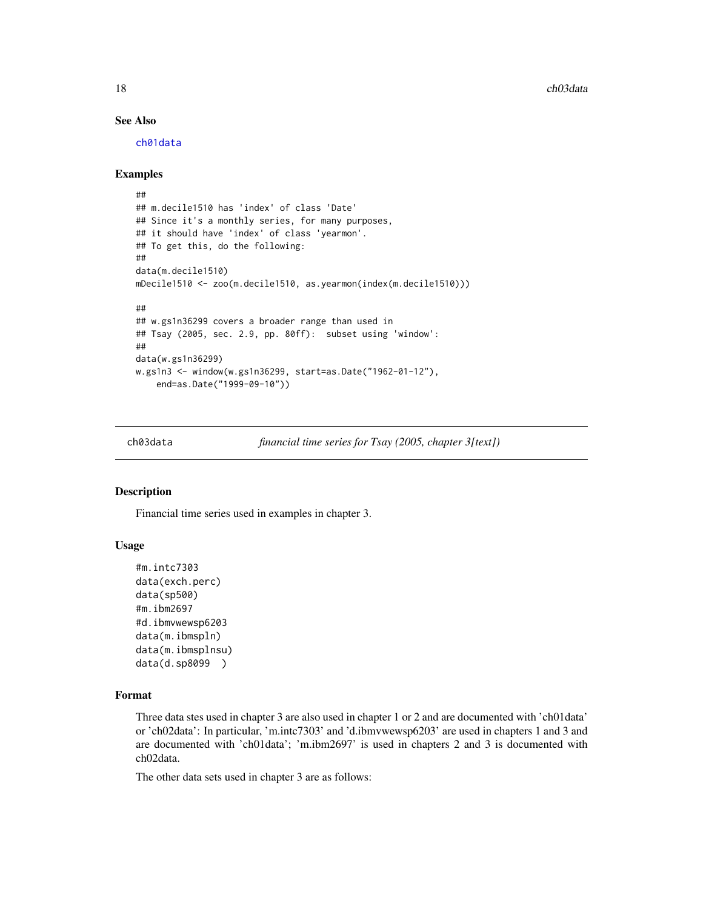<span id="page-17-0"></span>18 ch03data

# See Also

[ch01data](#page-13-1)

#### Examples

```
##
## m.decile1510 has 'index' of class 'Date'
## Since it's a monthly series, for many purposes,
## it should have 'index' of class 'yearmon'.
## To get this, do the following:
##
data(m.decile1510)
mDecile1510 <- zoo(m.decile1510, as.yearmon(index(m.decile1510)))
##
## w.gs1n36299 covers a broader range than used in
## Tsay (2005, sec. 2.9, pp. 80ff): subset using 'window':
##
data(w.gs1n36299)
w.gs1n3 <- window(w.gs1n36299, start=as.Date("1962-01-12"),
    end=as.Date("1999-09-10"))
```
<span id="page-17-1"></span>

ch03data *financial time series for Tsay (2005, chapter 3[text])*

#### Description

Financial time series used in examples in chapter 3.

#### Usage

```
#m.intc7303
data(exch.perc)
data(sp500)
#m.ibm2697
#d.ibmvwewsp6203
data(m.ibmspln)
data(m.ibmsplnsu)
data(d.sp8099 )
```
# Format

Three data stes used in chapter 3 are also used in chapter 1 or 2 and are documented with 'ch01data' or 'ch02data': In particular, 'm.intc7303' and 'd.ibmvwewsp6203' are used in chapters 1 and 3 and are documented with 'ch01data'; 'm.ibm2697' is used in chapters 2 and 3 is documented with ch02data.

The other data sets used in chapter 3 are as follows: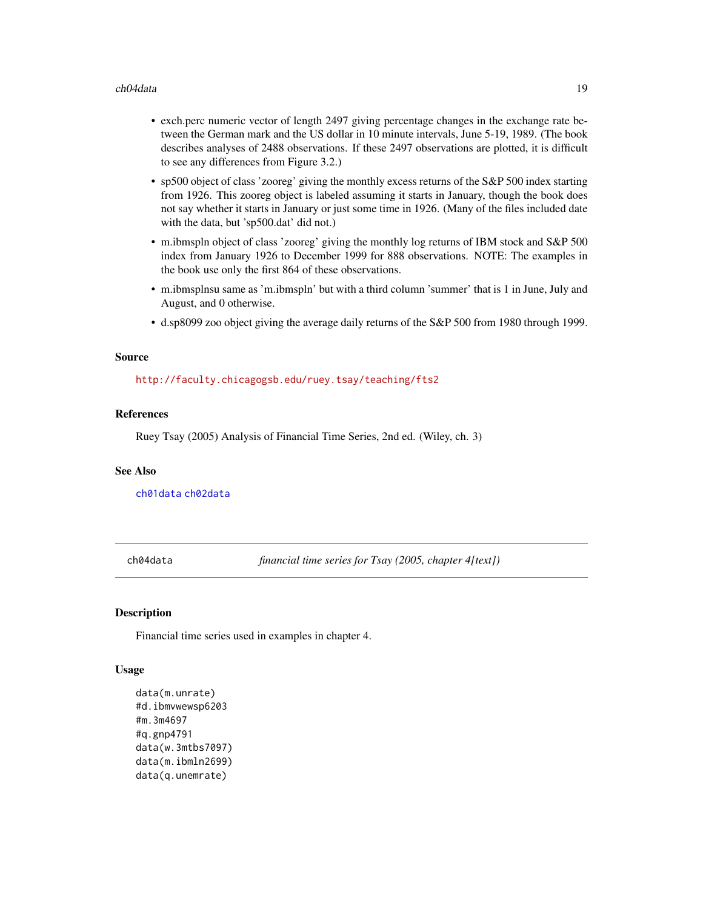#### <span id="page-18-0"></span>ch04data 19

- exch.perc numeric vector of length 2497 giving percentage changes in the exchange rate between the German mark and the US dollar in 10 minute intervals, June 5-19, 1989. (The book describes analyses of 2488 observations. If these 2497 observations are plotted, it is difficult to see any differences from Figure 3.2.)
- sp500 object of class 'zooreg' giving the monthly excess returns of the S&P 500 index starting from 1926. This zooreg object is labeled assuming it starts in January, though the book does not say whether it starts in January or just some time in 1926. (Many of the files included date with the data, but 'sp500.dat' did not.)
- m.ibmspln object of class 'zooreg' giving the monthly log returns of IBM stock and S&P 500 index from January 1926 to December 1999 for 888 observations. NOTE: The examples in the book use only the first 864 of these observations.
- m.ibmsplnsu same as 'm.ibmspln' but with a third column 'summer' that is 1 in June, July and August, and 0 otherwise.
- d.sp8099 zoo object giving the average daily returns of the S&P 500 from 1980 through 1999.

#### Source

[http://faculty.chicagogsb.edu/ruey.tsay/teaching/fts2]( http://faculty.chicagogsb.edu/ruey.tsay/teaching/fts2 )

#### References

Ruey Tsay (2005) Analysis of Financial Time Series, 2nd ed. (Wiley, ch. 3)

# See Also

[ch01data](#page-13-1) [ch02data](#page-15-1)

<span id="page-18-1"></span>ch04data *financial time series for Tsay (2005, chapter 4[text])*

# Description

Financial time series used in examples in chapter 4.

#### Usage

```
data(m.unrate)
#d.ibmvwewsp6203
#m.3m4697
#q.gnp4791
data(w.3mtbs7097)
data(m.ibmln2699)
data(q.unemrate)
```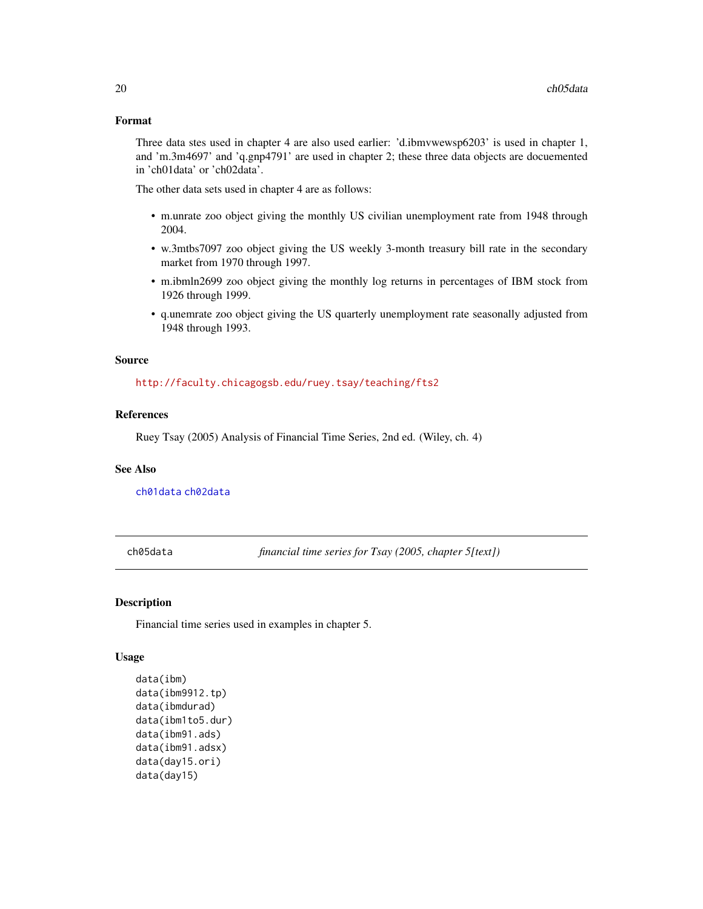#### <span id="page-19-0"></span>Format

Three data stes used in chapter 4 are also used earlier: 'd.ibmvwewsp6203' is used in chapter 1, and 'm.3m4697' and 'q.gnp4791' are used in chapter 2; these three data objects are docuemented in 'ch01data' or 'ch02data'.

The other data sets used in chapter 4 are as follows:

- m.unrate zoo object giving the monthly US civilian unemployment rate from 1948 through 2004.
- w.3mtbs7097 zoo object giving the US weekly 3-month treasury bill rate in the secondary market from 1970 through 1997.
- m.ibmln2699 zoo object giving the monthly log returns in percentages of IBM stock from 1926 through 1999.
- q.unemrate zoo object giving the US quarterly unemployment rate seasonally adjusted from 1948 through 1993.

#### Source

[http://faculty.chicagogsb.edu/ruey.tsay/teaching/fts2]( http://faculty.chicagogsb.edu/ruey.tsay/teaching/fts2 )

#### References

Ruey Tsay (2005) Analysis of Financial Time Series, 2nd ed. (Wiley, ch. 4)

#### See Also

[ch01data](#page-13-1) [ch02data](#page-15-1)

<span id="page-19-1"></span>ch05data *financial time series for Tsay (2005, chapter 5[text])*

#### Description

Financial time series used in examples in chapter 5.

#### Usage

```
data(ibm)
data(ibm9912.tp)
data(ibmdurad)
data(ibm1to5.dur)
data(ibm91.ads)
data(ibm91.adsx)
data(day15.ori)
data(day15)
```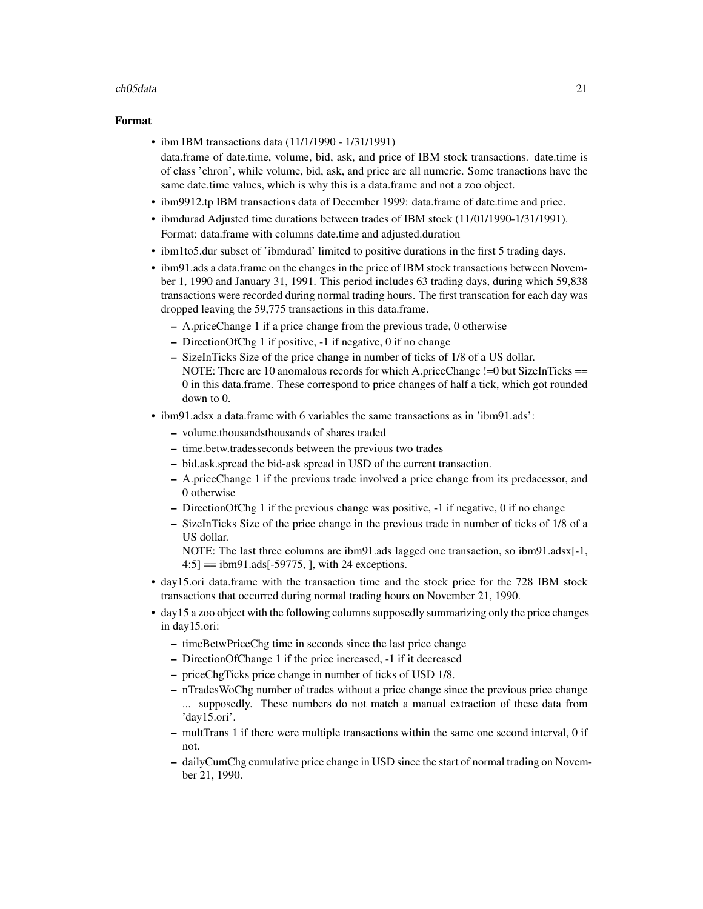#### ch05data 21

#### Format

- ibm IBM transactions data (11/1/1990 1/31/1991) data.frame of date.time, volume, bid, ask, and price of IBM stock transactions. date.time is of class 'chron', while volume, bid, ask, and price are all numeric. Some tranactions have the same date.time values, which is why this is a data.frame and not a zoo object.
- ibm9912.tp IBM transactions data of December 1999: data.frame of date.time and price.
- ibmdurad Adjusted time durations between trades of IBM stock (11/01/1990-1/31/1991). Format: data.frame with columns date.time and adjusted.duration
- ibm1to5.dur subset of 'ibmdurad' limited to positive durations in the first 5 trading days.
- ibm91.ads a data.frame on the changes in the price of IBM stock transactions between November 1, 1990 and January 31, 1991. This period includes 63 trading days, during which 59,838 transactions were recorded during normal trading hours. The first transcation for each day was dropped leaving the 59,775 transactions in this data.frame.
	- A.priceChange 1 if a price change from the previous trade, 0 otherwise
	- DirectionOfChg 1 if positive, -1 if negative, 0 if no change
	- SizeInTicks Size of the price change in number of ticks of 1/8 of a US dollar. NOTE: There are 10 anomalous records for which A.priceChange  $!=$  but SizeInTicks  $==$ 0 in this data.frame. These correspond to price changes of half a tick, which got rounded down to 0.
- ibm91.adsx a data.frame with 6 variables the same transactions as in 'ibm91.ads':
	- volume.thousandsthousands of shares traded
	- time.betw.tradesseconds between the previous two trades
	- bid.ask.spread the bid-ask spread in USD of the current transaction.
	- A.priceChange 1 if the previous trade involved a price change from its predacessor, and 0 otherwise
	- DirectionOfChg 1 if the previous change was positive, -1 if negative, 0 if no change
	- SizeInTicks Size of the price change in the previous trade in number of ticks of 1/8 of a US dollar.
		- NOTE: The last three columns are ibm91.ads lagged one transaction, so ibm91.adsx[-1,  $4:5$ ] = ibm91.ads[-59775, ], with 24 exceptions.
- day15.ori data.frame with the transaction time and the stock price for the 728 IBM stock transactions that occurred during normal trading hours on November 21, 1990.
- day15 a zoo object with the following columns supposedly summarizing only the price changes in day15.ori:
	- timeBetwPriceChg time in seconds since the last price change
	- DirectionOfChange 1 if the price increased, -1 if it decreased
	- priceChgTicks price change in number of ticks of USD 1/8.
	- nTradesWoChg number of trades without a price change since the previous price change ... supposedly. These numbers do not match a manual extraction of these data from 'day15.ori'.
	- multTrans 1 if there were multiple transactions within the same one second interval, 0 if not.
	- dailyCumChg cumulative price change in USD since the start of normal trading on November 21, 1990.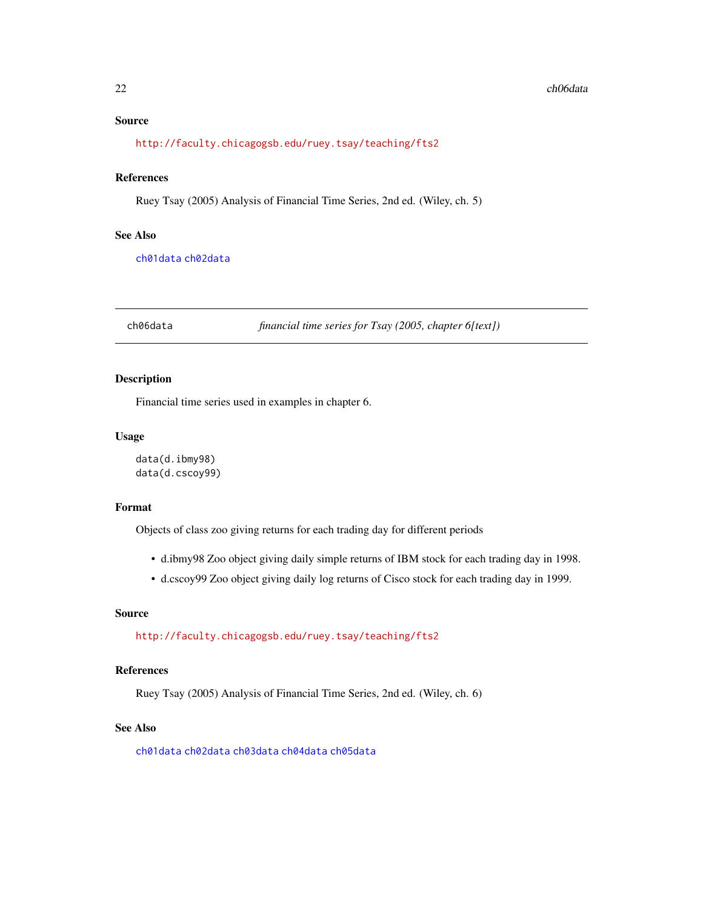# <span id="page-21-0"></span>Source

[http://faculty.chicagogsb.edu/ruey.tsay/teaching/fts2]( http://faculty.chicagogsb.edu/ruey.tsay/teaching/fts2 )

# References

Ruey Tsay (2005) Analysis of Financial Time Series, 2nd ed. (Wiley, ch. 5)

# See Also

[ch01data](#page-13-1) [ch02data](#page-15-1)

<span id="page-21-1"></span>ch06data *financial time series for Tsay (2005, chapter 6[text])*

# Description

Financial time series used in examples in chapter 6.

# Usage

data(d.ibmy98) data(d.cscoy99)

#### Format

Objects of class zoo giving returns for each trading day for different periods

- d.ibmy98 Zoo object giving daily simple returns of IBM stock for each trading day in 1998.
- d.cscoy99 Zoo object giving daily log returns of Cisco stock for each trading day in 1999.

# Source

[http://faculty.chicagogsb.edu/ruey.tsay/teaching/fts2]( http://faculty.chicagogsb.edu/ruey.tsay/teaching/fts2 )

# References

Ruey Tsay (2005) Analysis of Financial Time Series, 2nd ed. (Wiley, ch. 6)

# See Also

[ch01data](#page-13-1) [ch02data](#page-15-1) [ch03data](#page-17-1) [ch04data](#page-18-1) [ch05data](#page-19-1)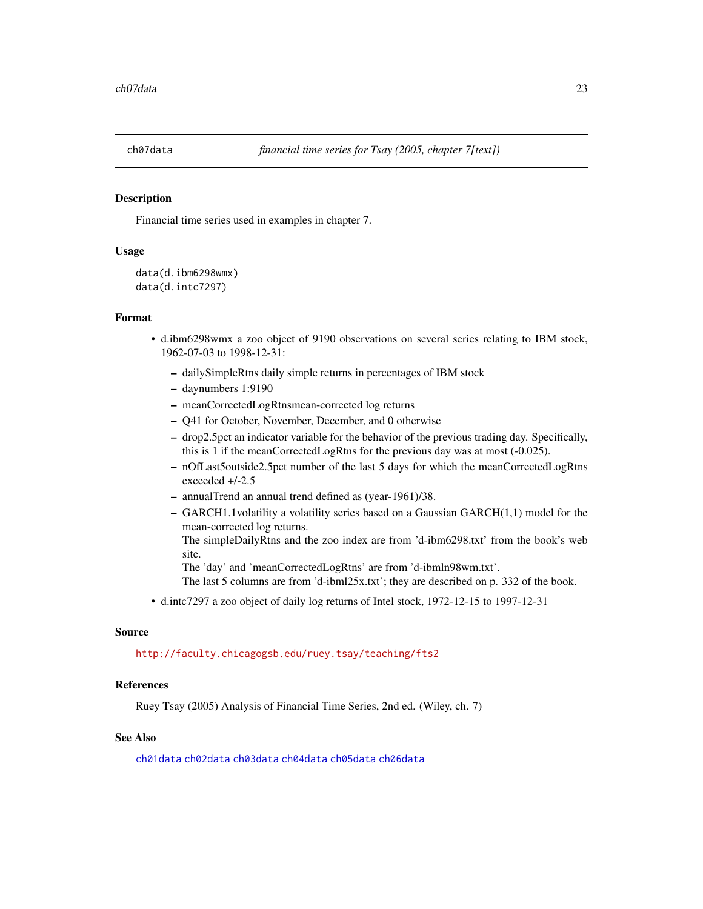<span id="page-22-1"></span><span id="page-22-0"></span>

# Description

Financial time series used in examples in chapter 7.

# Usage

```
data(d.ibm6298wmx)
data(d.intc7297)
```
#### Format

- d.ibm6298wmx a zoo object of 9190 observations on several series relating to IBM stock, 1962-07-03 to 1998-12-31:
	- dailySimpleRtns daily simple returns in percentages of IBM stock
	- daynumbers 1:9190
	- meanCorrectedLogRtnsmean-corrected log returns
	- Q41 for October, November, December, and 0 otherwise
	- drop2.5pct an indicator variable for the behavior of the previous trading day. Specifically, this is 1 if the meanCorrectedLogRtns for the previous day was at most (-0.025).
	- nOfLast5outside2.5pct number of the last 5 days for which the meanCorrectedLogRtns exceeded +/-2.5
	- annualTrend an annual trend defined as (year-1961)/38.
	- GARCH1.1volatility a volatility series based on a Gaussian GARCH(1,1) model for the mean-corrected log returns.
		- The simpleDailyRtns and the zoo index are from 'd-ibm6298.txt' from the book's web site.

The 'day' and 'meanCorrectedLogRtns' are from 'd-ibmln98wm.txt'.

- The last 5 columns are from 'd-ibml25x.txt'; they are described on p. 332 of the book.
- d.intc7297 a zoo object of daily log returns of Intel stock, 1972-12-15 to 1997-12-31

#### Source

#### [http://faculty.chicagogsb.edu/ruey.tsay/teaching/fts2]( http://faculty.chicagogsb.edu/ruey.tsay/teaching/fts2 )

# References

Ruey Tsay (2005) Analysis of Financial Time Series, 2nd ed. (Wiley, ch. 7)

# See Also

[ch01data](#page-13-1) [ch02data](#page-15-1) [ch03data](#page-17-1) [ch04data](#page-18-1) [ch05data](#page-19-1) [ch06data](#page-21-1)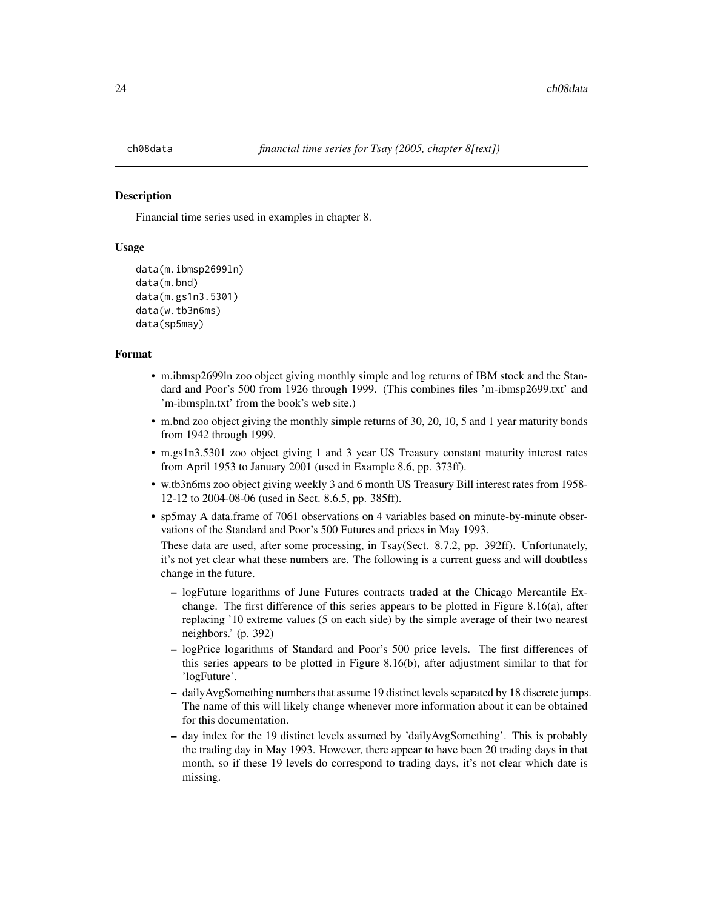<span id="page-23-1"></span><span id="page-23-0"></span>

# Description

Financial time series used in examples in chapter 8.

#### Usage

```
data(m.ibmsp2699ln)
data(m.bnd)
data(m.gs1n3.5301)
data(w.tb3n6ms)
data(sp5may)
```
#### Format

- m.ibmsp2699ln zoo object giving monthly simple and log returns of IBM stock and the Standard and Poor's 500 from 1926 through 1999. (This combines files 'm-ibmsp2699.txt' and 'm-ibmspln.txt' from the book's web site.)
- m.bnd zoo object giving the monthly simple returns of 30, 20, 10, 5 and 1 year maturity bonds from 1942 through 1999.
- m.gs1n3.5301 zoo object giving 1 and 3 year US Treasury constant maturity interest rates from April 1953 to January 2001 (used in Example 8.6, pp. 373ff).
- w.tb3n6ms zoo object giving weekly 3 and 6 month US Treasury Bill interest rates from 1958- 12-12 to 2004-08-06 (used in Sect. 8.6.5, pp. 385ff).
- sp5may A data.frame of 7061 observations on 4 variables based on minute-by-minute observations of the Standard and Poor's 500 Futures and prices in May 1993.

These data are used, after some processing, in Tsay(Sect. 8.7.2, pp. 392ff). Unfortunately, it's not yet clear what these numbers are. The following is a current guess and will doubtless change in the future.

- logFuture logarithms of June Futures contracts traded at the Chicago Mercantile Exchange. The first difference of this series appears to be plotted in Figure 8.16(a), after replacing '10 extreme values (5 on each side) by the simple average of their two nearest neighbors.' (p. 392)
- logPrice logarithms of Standard and Poor's 500 price levels. The first differences of this series appears to be plotted in Figure 8.16(b), after adjustment similar to that for 'logFuture'.
- dailyAvgSomething numbers that assume 19 distinct levels separated by 18 discrete jumps. The name of this will likely change whenever more information about it can be obtained for this documentation.
- day index for the 19 distinct levels assumed by 'dailyAvgSomething'. This is probably the trading day in May 1993. However, there appear to have been 20 trading days in that month, so if these 19 levels do correspond to trading days, it's not clear which date is missing.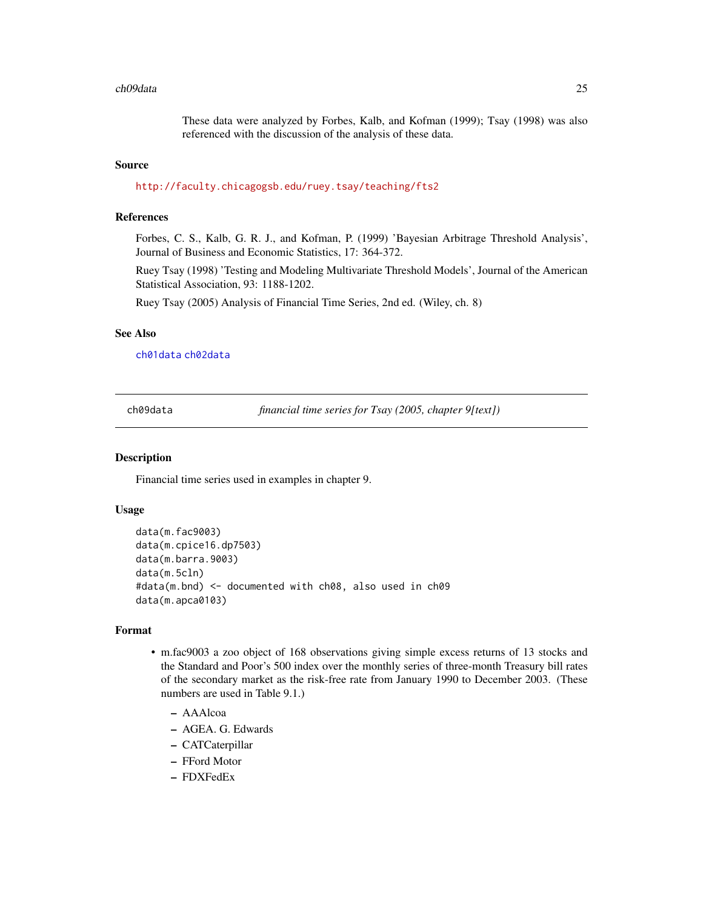#### <span id="page-24-0"></span>ch09data 25

These data were analyzed by Forbes, Kalb, and Kofman (1999); Tsay (1998) was also referenced with the discussion of the analysis of these data.

#### Source

[http://faculty.chicagogsb.edu/ruey.tsay/teaching/fts2]( http://faculty.chicagogsb.edu/ruey.tsay/teaching/fts2 )

#### References

Forbes, C. S., Kalb, G. R. J., and Kofman, P. (1999) 'Bayesian Arbitrage Threshold Analysis', Journal of Business and Economic Statistics, 17: 364-372.

Ruey Tsay (1998) 'Testing and Modeling Multivariate Threshold Models', Journal of the American Statistical Association, 93: 1188-1202.

Ruey Tsay (2005) Analysis of Financial Time Series, 2nd ed. (Wiley, ch. 8)

# See Also

[ch01data](#page-13-1) [ch02data](#page-15-1)

<span id="page-24-1"></span>ch09data *financial time series for Tsay (2005, chapter 9[text])*

#### **Description**

Financial time series used in examples in chapter 9.

# Usage

```
data(m.fac9003)
data(m.cpice16.dp7503)
data(m.barra.9003)
data(m.5cln)
#data(m.bnd) <- documented with ch08, also used in ch09
data(m.apca0103)
```
# Format

- m.fac9003 a zoo object of 168 observations giving simple excess returns of 13 stocks and the Standard and Poor's 500 index over the monthly series of three-month Treasury bill rates of the secondary market as the risk-free rate from January 1990 to December 2003. (These numbers are used in Table 9.1.)
	- AAAlcoa
	- AGEA. G. Edwards
	- CATCaterpillar
	- FFord Motor
	- FDXFedEx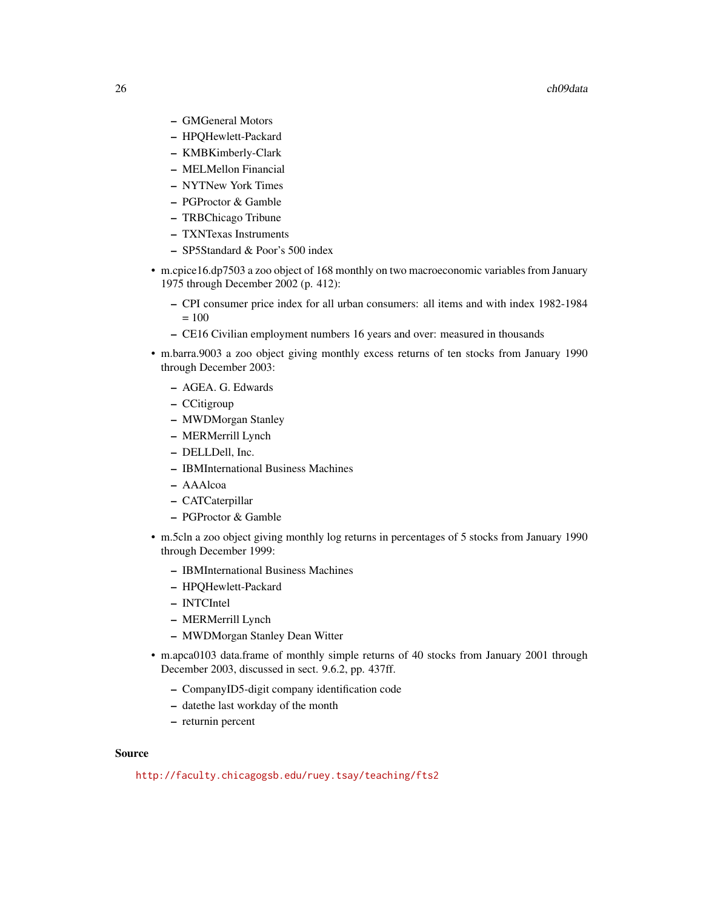#### 26 ch09data

- GMGeneral Motors
- HPQHewlett-Packard
- KMBKimberly-Clark
- MELMellon Financial
- NYTNew York Times
- PGProctor & Gamble
- TRBChicago Tribune
- TXNTexas Instruments
- SP5Standard & Poor's 500 index
- m.cpice16.dp7503 a zoo object of 168 monthly on two macroeconomic variables from January 1975 through December 2002 (p. 412):
	- CPI consumer price index for all urban consumers: all items and with index 1982-1984  $= 100$
	- CE16 Civilian employment numbers 16 years and over: measured in thousands
- m.barra.9003 a zoo object giving monthly excess returns of ten stocks from January 1990 through December 2003:
	- AGEA. G. Edwards
	- CCitigroup
	- MWDMorgan Stanley
	- MERMerrill Lynch
	- DELLDell, Inc.
	- IBMInternational Business Machines
	- AAAlcoa
	- CATCaterpillar
	- PGProctor & Gamble
- m.5cln a zoo object giving monthly log returns in percentages of 5 stocks from January 1990 through December 1999:
	- IBMInternational Business Machines
	- HPQHewlett-Packard
	- INTCIntel
	- MERMerrill Lynch
	- MWDMorgan Stanley Dean Witter
- m.apca0103 data.frame of monthly simple returns of 40 stocks from January 2001 through December 2003, discussed in sect. 9.6.2, pp. 437ff.
	- CompanyID5-digit company identification code
	- datethe last workday of the month
	- returnin percent

#### Source

[http://faculty.chicagogsb.edu/ruey.tsay/teaching/fts2]( http://faculty.chicagogsb.edu/ruey.tsay/teaching/fts2 )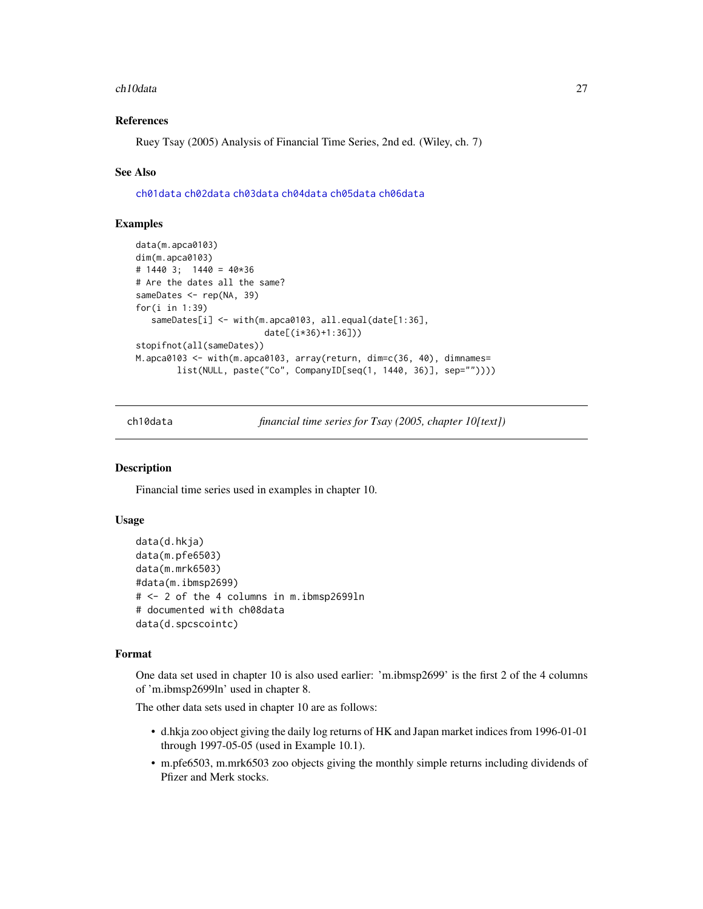#### <span id="page-26-0"></span>ch10data 27

# References

Ruey Tsay (2005) Analysis of Financial Time Series, 2nd ed. (Wiley, ch. 7)

#### See Also

[ch01data](#page-13-1) [ch02data](#page-15-1) [ch03data](#page-17-1) [ch04data](#page-18-1) [ch05data](#page-19-1) [ch06data](#page-21-1)

# Examples

```
data(m.apca0103)
dim(m.apca0103)
# 1440 3; 1440 = 40*36
# Are the dates all the same?
sameDates <- rep(NA, 39)
for(i in 1:39)
   sameDates[i] <- with(m.apca0103, all.equal(date[1:36],
                         date[(i*36)+1:36]))
stopifnot(all(sameDates))
M.apca0103 <- with(m.apca0103, array(return, dim=c(36, 40), dimnames=
        list(NULL, paste("Co", CompanyID[seq(1, 1440, 36)], sep=""))))
```
<span id="page-26-1"></span>ch10data *financial time series for Tsay (2005, chapter 10[text])*

# Description

Financial time series used in examples in chapter 10.

# Usage

```
data(d.hkja)
data(m.pfe6503)
data(m.mrk6503)
#data(m.ibmsp2699)
# <- 2 of the 4 columns in m.ibmsp2699ln
# documented with ch08data
data(d.spcscointc)
```
#### Format

One data set used in chapter 10 is also used earlier: 'm.ibmsp2699' is the first 2 of the 4 columns of 'm.ibmsp2699ln' used in chapter 8.

The other data sets used in chapter 10 are as follows:

- d.hkja zoo object giving the daily log returns of HK and Japan market indices from 1996-01-01 through 1997-05-05 (used in Example 10.1).
- m.pfe6503, m.mrk6503 zoo objects giving the monthly simple returns including dividends of Pfizer and Merk stocks.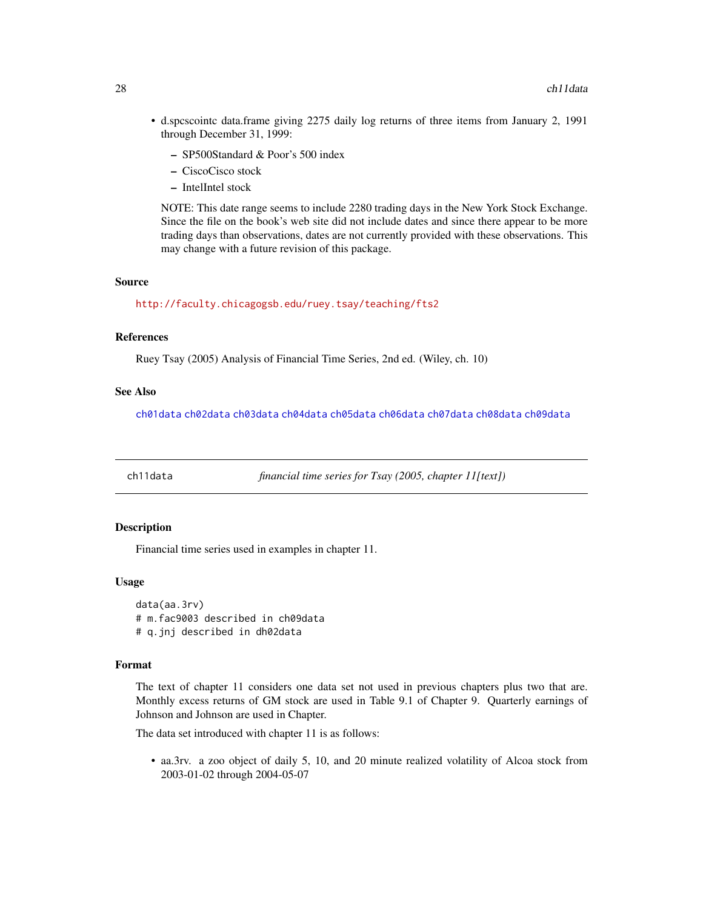- <span id="page-27-0"></span>• d.spcscointc data.frame giving 2275 daily log returns of three items from January 2, 1991 through December 31, 1999:
	- SP500Standard & Poor's 500 index
	- CiscoCisco stock
	- IntelIntel stock

NOTE: This date range seems to include 2280 trading days in the New York Stock Exchange. Since the file on the book's web site did not include dates and since there appear to be more trading days than observations, dates are not currently provided with these observations. This may change with a future revision of this package.

#### Source

[http://faculty.chicagogsb.edu/ruey.tsay/teaching/fts2]( http://faculty.chicagogsb.edu/ruey.tsay/teaching/fts2 )

#### References

Ruey Tsay (2005) Analysis of Financial Time Series, 2nd ed. (Wiley, ch. 10)

# See Also

[ch01data](#page-13-1) [ch02data](#page-15-1) [ch03data](#page-17-1) [ch04data](#page-18-1) [ch05data](#page-19-1) [ch06data](#page-21-1) [ch07data](#page-22-1) [ch08data](#page-23-1) [ch09data](#page-24-1)

<span id="page-27-1"></span>ch11data *financial time series for Tsay (2005, chapter 11[text])*

#### Description

Financial time series used in examples in chapter 11.

#### Usage

data(aa.3rv) # m.fac9003 described in ch09data # q.jnj described in dh02data

# Format

The text of chapter 11 considers one data set not used in previous chapters plus two that are. Monthly excess returns of GM stock are used in Table 9.1 of Chapter 9. Quarterly earnings of Johnson and Johnson are used in Chapter.

The data set introduced with chapter 11 is as follows:

• aa.3rv. a zoo object of daily 5, 10, and 20 minute realized volatility of Alcoa stock from 2003-01-02 through 2004-05-07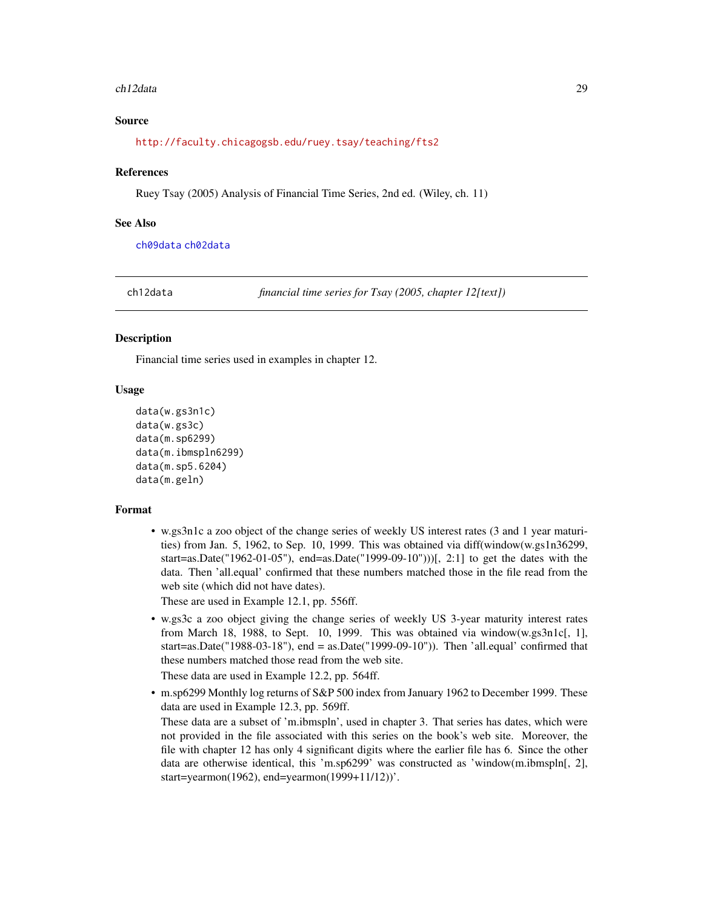#### <span id="page-28-0"></span>ch12data 29

# Source

[http://faculty.chicagogsb.edu/ruey.tsay/teaching/fts2]( http://faculty.chicagogsb.edu/ruey.tsay/teaching/fts2 )

#### References

Ruey Tsay (2005) Analysis of Financial Time Series, 2nd ed. (Wiley, ch. 11)

#### See Also

[ch09data](#page-24-1) [ch02data](#page-15-1)

ch12data *financial time series for Tsay (2005, chapter 12[text])*

#### **Description**

Financial time series used in examples in chapter 12.

# Usage

```
data(w.gs3n1c)
data(w.gs3c)
data(m.sp6299)
data(m.ibmspln6299)
data(m.sp5.6204)
data(m.geln)
```
#### Format

• w.gs3n1c a zoo object of the change series of weekly US interest rates (3 and 1 year maturities) from Jan. 5, 1962, to Sep. 10, 1999. This was obtained via diff(window(w.gs1n36299, start=as.Date("1962-01-05"), end=as.Date("1999-09-10")))[, 2:1] to get the dates with the data. Then 'all.equal' confirmed that these numbers matched those in the file read from the web site (which did not have dates).

These are used in Example 12.1, pp. 556ff.

• w.gs3c a zoo object giving the change series of weekly US 3-year maturity interest rates from March 18, 1988, to Sept. 10, 1999. This was obtained via window(w.gs $3n1c$ , 1], start=as.Date("1988-03-18"), end = as.Date("1999-09-10")). Then 'all.equal' confirmed that these numbers matched those read from the web site.

These data are used in Example 12.2, pp. 564ff.

• m.sp6299 Monthly log returns of S&P 500 index from January 1962 to December 1999. These data are used in Example 12.3, pp. 569ff.

These data are a subset of 'm.ibmspln', used in chapter 3. That series has dates, which were not provided in the file associated with this series on the book's web site. Moreover, the file with chapter 12 has only 4 significant digits where the earlier file has 6. Since the other data are otherwise identical, this 'm.sp6299' was constructed as 'window(m.ibmspln[, 2], start=yearmon(1962), end=yearmon(1999+11/12))'.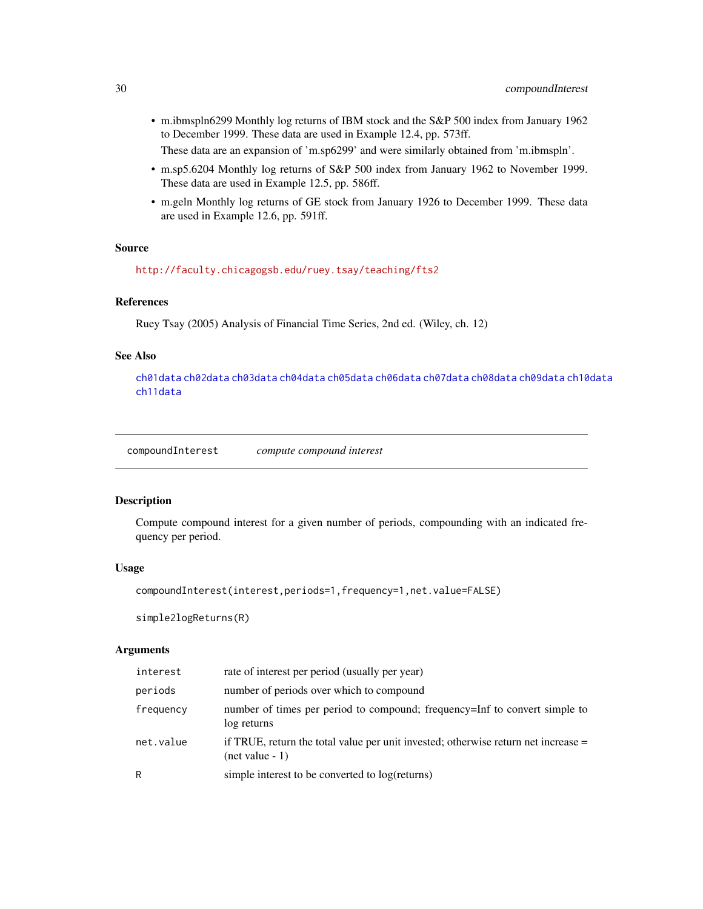- <span id="page-29-0"></span>• m.ibmspln6299 Monthly log returns of IBM stock and the S&P 500 index from January 1962 to December 1999. These data are used in Example 12.4, pp. 573ff.
	- These data are an expansion of 'm.sp6299' and were similarly obtained from 'm.ibmspln'.
- m.sp5.6204 Monthly log returns of S&P 500 index from January 1962 to November 1999. These data are used in Example 12.5, pp. 586ff.
- m.geln Monthly log returns of GE stock from January 1926 to December 1999. These data are used in Example 12.6, pp. 591ff.

#### Source

[http://faculty.chicagogsb.edu/ruey.tsay/teaching/fts2]( http://faculty.chicagogsb.edu/ruey.tsay/teaching/fts2 )

# References

Ruey Tsay (2005) Analysis of Financial Time Series, 2nd ed. (Wiley, ch. 12)

# See Also

[ch01data](#page-13-1) [ch02data](#page-15-1) [ch03data](#page-17-1) [ch04data](#page-18-1) [ch05data](#page-19-1) [ch06data](#page-21-1) [ch07data](#page-22-1) [ch08data](#page-23-1) [ch09data](#page-24-1) [ch10data](#page-26-1) [ch11data](#page-27-1)

compoundInterest *compute compound interest*

#### Description

Compute compound interest for a given number of periods, compounding with an indicated frequency per period.

#### Usage

```
compoundInterest(interest,periods=1,frequency=1,net.value=FALSE)
```
simple2logReturns(R)

# Arguments

| interest  | rate of interest per period (usually per year)                                                          |
|-----------|---------------------------------------------------------------------------------------------------------|
| periods   | number of periods over which to compound                                                                |
| frequency | number of times per period to compound; frequency=Inf to convert simple to<br>log returns               |
| net.value | if TRUE, return the total value per unit invested; otherwise return net increase =<br>$(net value - 1)$ |
| R         | simple interest to be converted to log(returns)                                                         |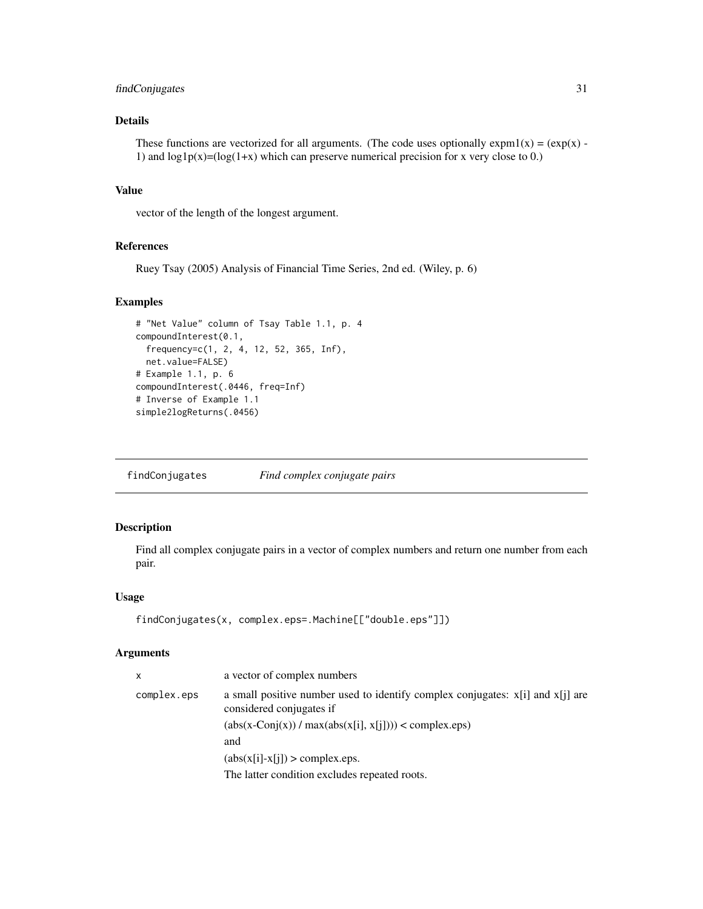# <span id="page-30-0"></span>findConjugates 31

# Details

These functions are vectorized for all arguments. (The code uses optionally  $\exp(1(x)) = (\exp(x))$  -1) and  $log1p(x)=(log(1+x)$  which can preserve numerical precision for x very close to 0.)

# Value

vector of the length of the longest argument.

# References

Ruey Tsay (2005) Analysis of Financial Time Series, 2nd ed. (Wiley, p. 6)

# Examples

```
# "Net Value" column of Tsay Table 1.1, p. 4
compoundInterest(0.1,
  frequency=c(1, 2, 4, 12, 52, 365, Inf),
 net.value=FALSE)
# Example 1.1, p. 6
compoundInterest(.0446, freq=Inf)
# Inverse of Example 1.1
simple2logReturns(.0456)
```
findConjugates *Find complex conjugate pairs*

# Description

Find all complex conjugate pairs in a vector of complex numbers and return one number from each pair.

# Usage

```
findConjugates(x, complex.eps=.Machine[["double.eps"]])
```
#### Arguments

| x           | a vector of complex numbers                                                                                |
|-------------|------------------------------------------------------------------------------------------------------------|
| complex.eps | a small positive number used to identify complex conjugates: x[i] and x[j] are<br>considered conjugates if |
|             | $(abs(x-Conj(x)) / max(abs(x[i], x[j])) < complex.eps)$                                                    |
|             | and                                                                                                        |
|             | $(abs(x[i]-x[i]) > complex.eps.$                                                                           |
|             | The latter condition excludes repeated roots.                                                              |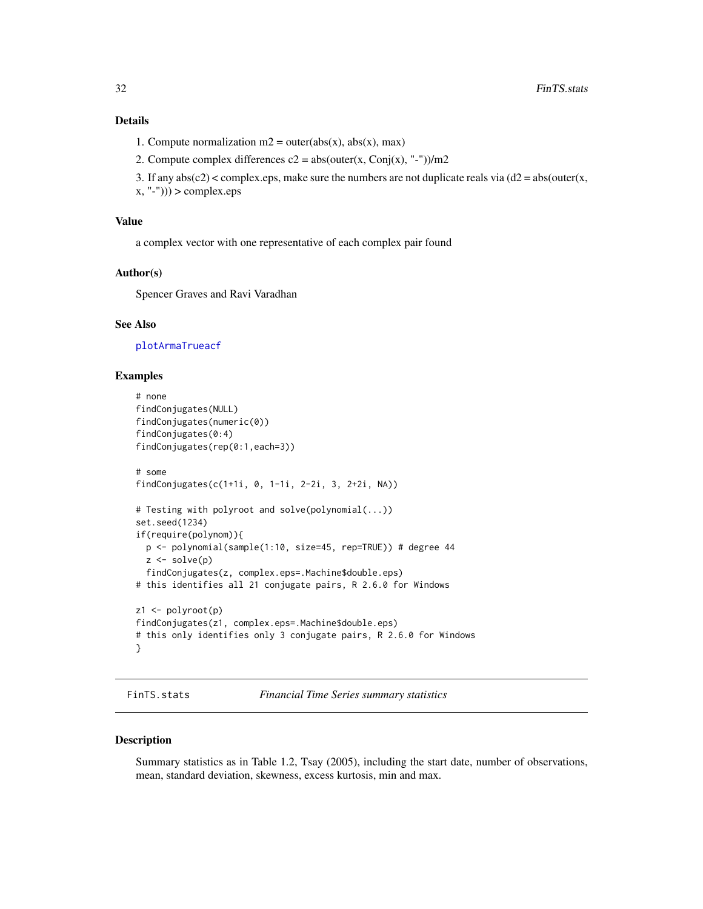# <span id="page-31-0"></span>Details

- 1. Compute normalization  $m2 = outer(abs(x), abs(x), max)$
- 2. Compute complex differences  $c2 = abs(outr(x, Conj(x), "--))/m2$
- 3. If any  $abs(c2) <$  complex.eps, make sure the numbers are not duplicate reals via  $(d2 = abs(outr(x,$
- $(x, "--"))$ ) > complex.eps

# Value

a complex vector with one representative of each complex pair found

#### Author(s)

Spencer Graves and Ravi Varadhan

#### See Also

[plotArmaTrueacf](#page-35-1)

#### Examples

```
# none
findConjugates(NULL)
findConjugates(numeric(0))
findConjugates(0:4)
findConjugates(rep(0:1,each=3))
# some
findConjugates(c(1+1i, 0, 1-1i, 2-2i, 3, 2+2i, NA))
# Testing with polyroot and solve(polynomial(...))
set.seed(1234)
if(require(polynom)){
  p <- polynomial(sample(1:10, size=45, rep=TRUE)) # degree 44
  z \leftarrow solve(p)findConjugates(z, complex.eps=.Machine$double.eps)
# this identifies all 21 conjugate pairs, R 2.6.0 for Windows
z1 <- polyroot(p)
findConjugates(z1, complex.eps=.Machine$double.eps)
# this only identifies only 3 conjugate pairs, R 2.6.0 for Windows
}
```
<span id="page-31-1"></span>FinTS.stats *Financial Time Series summary statistics*

# Description

Summary statistics as in Table 1.2, Tsay (2005), including the start date, number of observations, mean, standard deviation, skewness, excess kurtosis, min and max.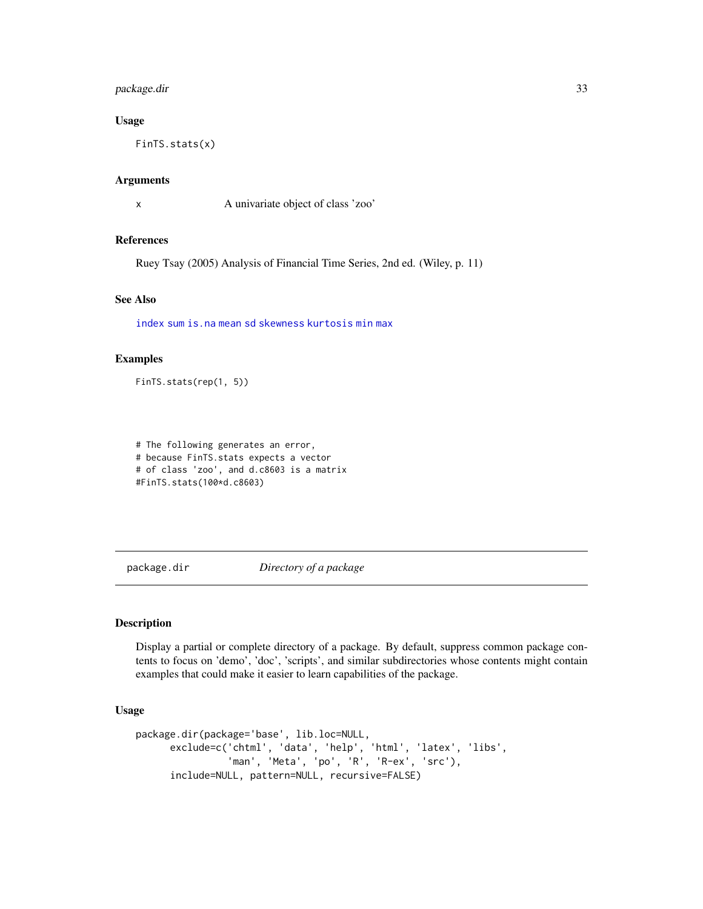# <span id="page-32-0"></span>package.dir 33

# Usage

FinTS.stats(x)

# Arguments

x A univariate object of class 'zoo'

# References

Ruey Tsay (2005) Analysis of Financial Time Series, 2nd ed. (Wiley, p. 11)

# See Also

[index](#page-0-0) [sum](#page-0-0) [is.na](#page-0-0) [mean](#page-0-0) [sd](#page-0-0) [skewness](#page-0-0) [kurtosis](#page-0-0) [min](#page-0-0) [max](#page-0-0)

# Examples

FinTS.stats(rep(1, 5))

# The following generates an error, # because FinTS.stats expects a vector # of class 'zoo', and d.c8603 is a matrix #FinTS.stats(100\*d.c8603)

<span id="page-32-1"></span>package.dir *Directory of a package*

# Description

Display a partial or complete directory of a package. By default, suppress common package contents to focus on 'demo', 'doc', 'scripts', and similar subdirectories whose contents might contain examples that could make it easier to learn capabilities of the package.

#### Usage

```
package.dir(package='base', lib.loc=NULL,
      exclude=c('chtml', 'data', 'help', 'html', 'latex', 'libs',
                'man', 'Meta', 'po', 'R', 'R-ex', 'src'),
      include=NULL, pattern=NULL, recursive=FALSE)
```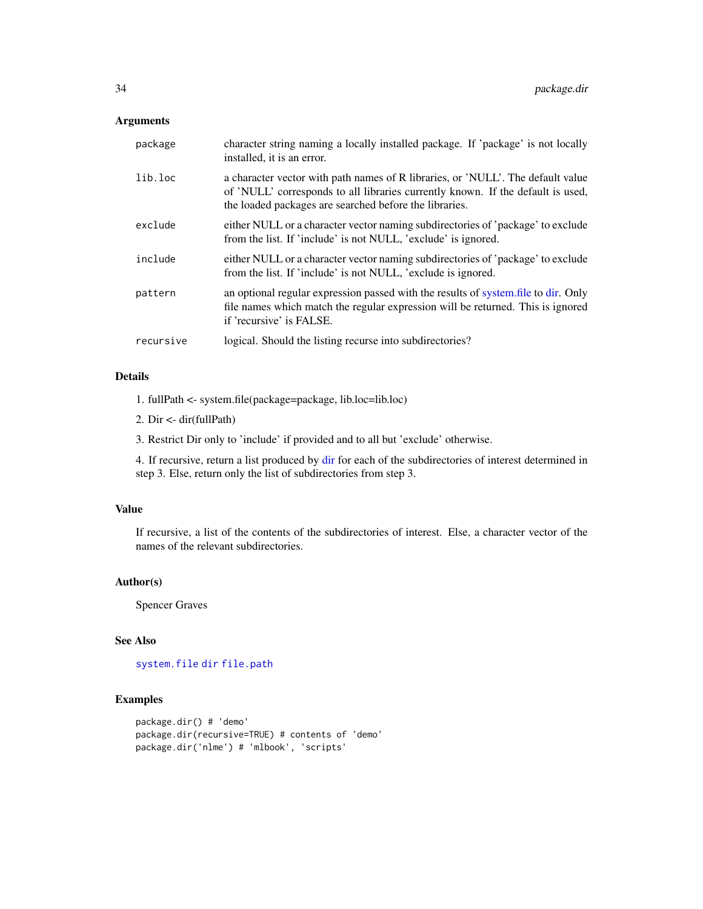# <span id="page-33-0"></span>Arguments

| package   | character string naming a locally installed package. If 'package' is not locally<br>installed, it is an error.                                                                                                               |
|-----------|------------------------------------------------------------------------------------------------------------------------------------------------------------------------------------------------------------------------------|
| lib.loc   | a character vector with path names of R libraries, or 'NULL'. The default value<br>of 'NULL' corresponds to all libraries currently known. If the default is used,<br>the loaded packages are searched before the libraries. |
| exclude   | either NULL or a character vector naming subdirectories of 'package' to exclude<br>from the list. If 'include' is not NULL, 'exclude' is ignored.                                                                            |
| include   | either NULL or a character vector naming subdirectories of 'package' to exclude<br>from the list. If 'include' is not NULL, 'exclude is ignored.                                                                             |
| pattern   | an optional regular expression passed with the results of system file to dir. Only<br>file names which match the regular expression will be returned. This is ignored<br>if 'recursive' is FALSE.                            |
| recursive | logical. Should the listing recurse into subdirectories?                                                                                                                                                                     |

# Details

1. fullPath <- system.file(package=package, lib.loc=lib.loc)

2. Dir <- dir(fullPath)

3. Restrict Dir only to 'include' if provided and to all but 'exclude' otherwise.

4. If recursive, return a list produced by [dir](#page-0-0) for each of the subdirectories of interest determined in step 3. Else, return only the list of subdirectories from step 3.

# Value

If recursive, a list of the contents of the subdirectories of interest. Else, a character vector of the names of the relevant subdirectories.

# Author(s)

Spencer Graves

# See Also

# [system.file](#page-0-0) [dir](#page-0-0) [file.path](#page-0-0)

# Examples

```
package.dir() # 'demo'
package.dir(recursive=TRUE) # contents of 'demo'
package.dir('nlme') # 'mlbook', 'scripts'
```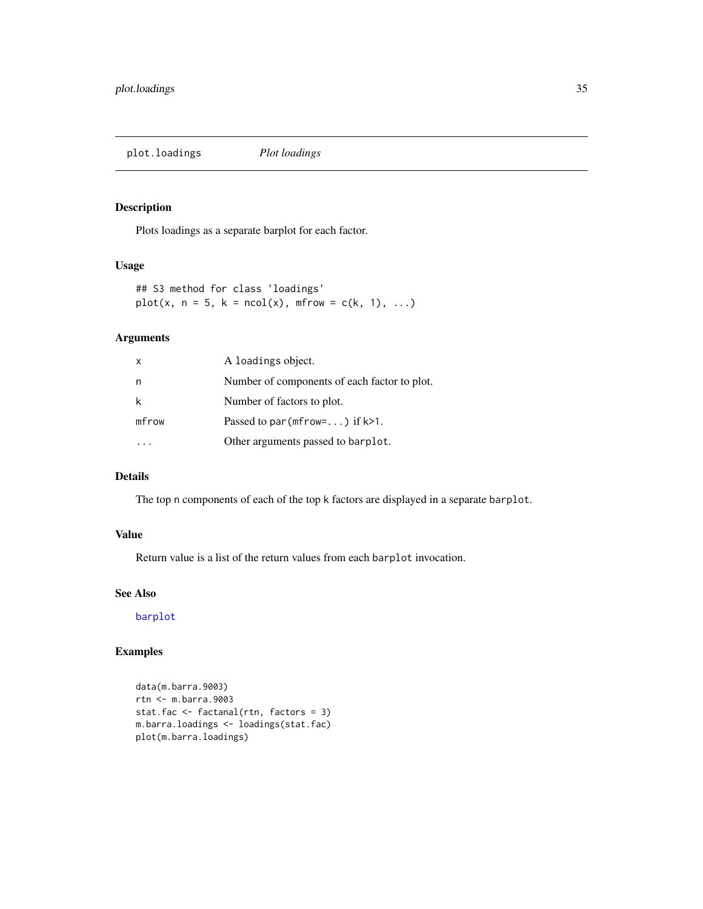<span id="page-34-0"></span>plot.loadings *Plot loadings*

# Description

Plots loadings as a separate barplot for each factor.

# Usage

## S3 method for class 'loadings'  $plot(x, n = 5, k = ncol(x), mfrom = c(k, 1), ...)$ 

# Arguments

| X     | A loadings object.                             |
|-------|------------------------------------------------|
| n     | Number of components of each factor to plot.   |
| k     | Number of factors to plot.                     |
| mfrow | Passed to par ( $m$ frow= $\dots$ ) if $k>1$ . |
|       | Other arguments passed to barplot.             |

# Details

The top n components of each of the top k factors are displayed in a separate barplot.

# Value

Return value is a list of the return values from each barplot invocation.

# See Also

[barplot](#page-0-0)

# Examples

```
data(m.barra.9003)
rtn <- m.barra.9003
stat.fac <- factanal(rtn, factors = 3)
m.barra.loadings <- loadings(stat.fac)
plot(m.barra.loadings)
```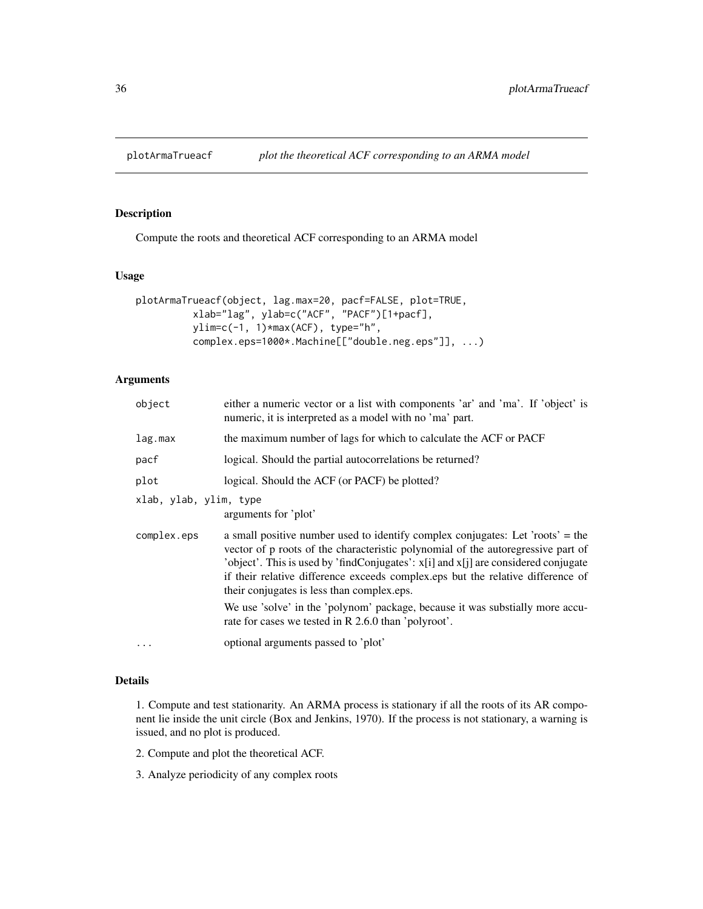<span id="page-35-1"></span><span id="page-35-0"></span>

# Description

Compute the roots and theoretical ACF corresponding to an ARMA model

#### Usage

```
plotArmaTrueacf(object, lag.max=20, pacf=FALSE, plot=TRUE,
          xlab="lag", ylab=c("ACF", "PACF")[1+pacf],
          ylim=c(-1, 1)*max(ACF), type="h",
          complex.eps=1000*.Machine[["double.neg.eps"]], ...)
```
# Arguments

| object                 | either a numeric vector or a list with components 'ar' and 'ma'. If 'object' is<br>numeric, it is interpreted as a model with no 'ma' part.                                                                                                                                                                                                                                               |
|------------------------|-------------------------------------------------------------------------------------------------------------------------------------------------------------------------------------------------------------------------------------------------------------------------------------------------------------------------------------------------------------------------------------------|
| lag.max                | the maximum number of lags for which to calculate the ACF or PACF                                                                                                                                                                                                                                                                                                                         |
| pacf                   | logical. Should the partial autocorrelations be returned?                                                                                                                                                                                                                                                                                                                                 |
| plot                   | logical. Should the ACF (or PACF) be plotted?                                                                                                                                                                                                                                                                                                                                             |
| xlab, ylab, ylim, type | arguments for 'plot'                                                                                                                                                                                                                                                                                                                                                                      |
| complex.eps            | a small positive number used to identify complex conjugates: Let 'roots' = the<br>vector of p roots of the characteristic polynomial of the autoregressive part of<br>'object'. This is used by 'findConjugates': x[i] and x[j] are considered conjugate<br>if their relative difference exceeds complex eps but the relative difference of<br>their conjugates is less than complex eps. |
|                        | We use 'solve' in the 'polynom' package, because it was substially more accu-<br>rate for cases we tested in R 2.6.0 than 'polyroot'.                                                                                                                                                                                                                                                     |
|                        | optional arguments passed to 'plot'                                                                                                                                                                                                                                                                                                                                                       |
|                        |                                                                                                                                                                                                                                                                                                                                                                                           |

# Details

1. Compute and test stationarity. An ARMA process is stationary if all the roots of its AR component lie inside the unit circle (Box and Jenkins, 1970). If the process is not stationary, a warning is issued, and no plot is produced.

2. Compute and plot the theoretical ACF.

3. Analyze periodicity of any complex roots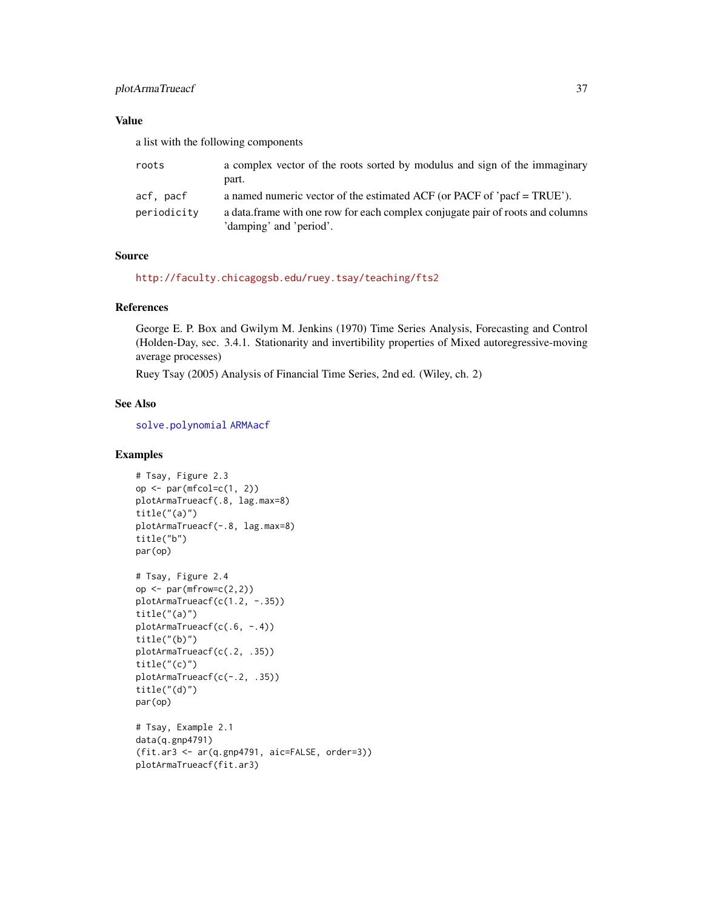# <span id="page-36-0"></span>plotArmaTrueacf 37

# Value

a list with the following components

| roots       | a complex vector of the roots sorted by modulus and sign of the immaginary<br>part. |
|-------------|-------------------------------------------------------------------------------------|
|             |                                                                                     |
| acf, pacf   | a named numeric vector of the estimated ACF (or PACF of 'pacf = TRUE').             |
| periodicity | a data frame with one row for each complex conjugate pair of roots and columns      |
|             | 'damping' and 'period'.                                                             |

# Source

[http://faculty.chicagogsb.edu/ruey.tsay/teaching/fts2]( http://faculty.chicagogsb.edu/ruey.tsay/teaching/fts2 )

#### References

George E. P. Box and Gwilym M. Jenkins (1970) Time Series Analysis, Forecasting and Control (Holden-Day, sec. 3.4.1. Stationarity and invertibility properties of Mixed autoregressive-moving average processes)

Ruey Tsay (2005) Analysis of Financial Time Series, 2nd ed. (Wiley, ch. 2)

# See Also

[solve.polynomial](#page-0-0) [ARMAacf](#page-0-0)

# Examples

```
# Tsay, Figure 2.3
op \leq par(mfcol=c(1, 2))
plotArmaTrueacf(.8, lag.max=8)
title("(a)")
plotArmaTrueacf(-.8, lag.max=8)
title("b")
par(op)
```

```
# Tsay, Figure 2.4
op \leq par(mfrow=c(2,2))
plotArmaTrueacf(c(1.2, -.35))
title("(a)" )plotArmaTrueacf(c(.6, -.4))
title("(b)")
plotArmaTrueacf(c(.2, .35))
title("(c)")
plotArmaTrueacf(c(-.2, .35))
title("(d)")
par(op)
# Tsay, Example 2.1
```

```
data(q.gnp4791)
(fit.ar3 <- ar(q.gnp4791, aic=FALSE, order=3))
plotArmaTrueacf(fit.ar3)
```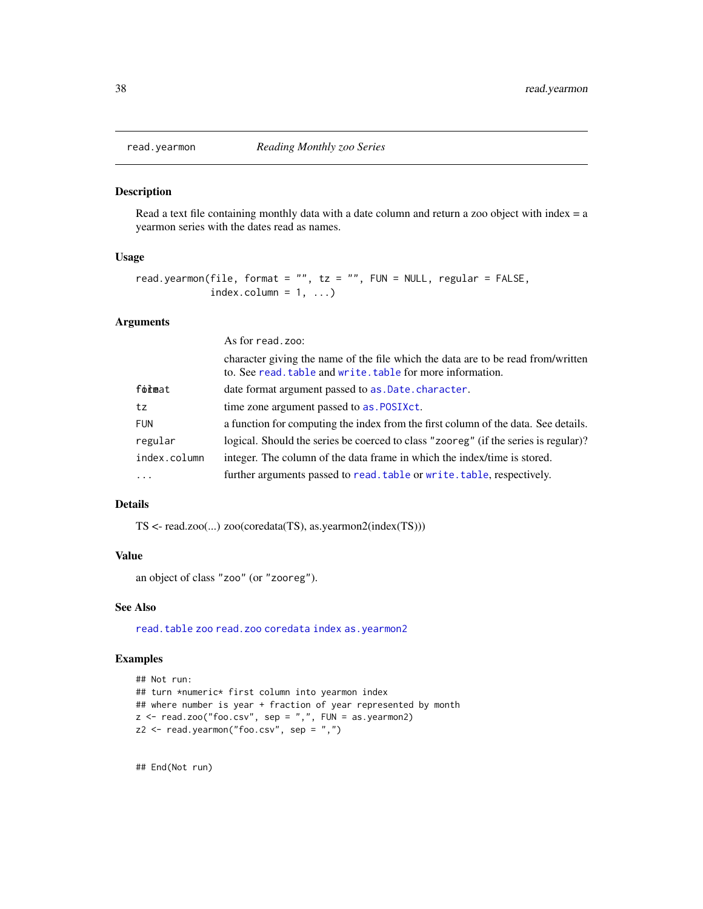<span id="page-37-0"></span>

#### Description

Read a text file containing monthly data with a date column and return a zoo object with index  $= a$ yearmon series with the dates read as names.

#### Usage

```
read.yearmon(file, format = "", tz = "", FW = NULL, regular = FALSE,
            index.column = 1, ...)
```
# Arguments

|              | As for read, zoo:                                                                                                                              |
|--------------|------------------------------------------------------------------------------------------------------------------------------------------------|
|              | character giving the name of the file which the data are to be read from/written<br>to. See read, table and write, table for more information. |
| format       | date format argument passed to as . Date . character.                                                                                          |
| tz           | time zone argument passed to as. POSIXct.                                                                                                      |
| <b>FUN</b>   | a function for computing the index from the first column of the data. See details.                                                             |
| regular      | logical. Should the series be coerced to class "zooreg" (if the series is regular)?                                                            |
| index.column | integer. The column of the data frame in which the index/time is stored.                                                                       |
| $\cdots$     | further arguments passed to read. table or write. table, respectively.                                                                         |

# Details

TS <- read.zoo(...) zoo(coredata(TS), as.yearmon2(index(TS)))

# Value

an object of class "zoo" (or "zooreg").

# See Also

[read.table](#page-0-0) [zoo](#page-0-0) [read.zoo](#page-0-0) [coredata](#page-0-0) [index](#page-0-0) [as.yearmon2](#page-11-1)

#### Examples

```
## Not run:
## turn *numeric* first column into yearmon index
## where number is year + fraction of year represented by month
z \le read.zoo("foo.csv", sep = ",", FUN = as.yearmon2)
z2 <- read.yearmon("foo.csv", sep = ",")
```
## End(Not run)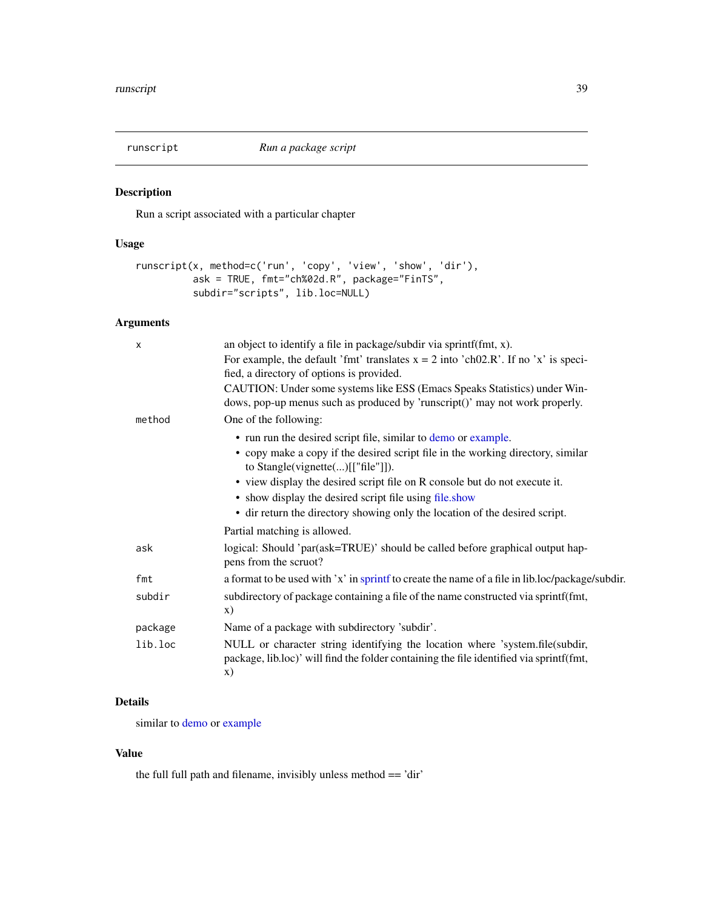<span id="page-38-0"></span>

# Description

Run a script associated with a particular chapter

# Usage

```
runscript(x, method=c('run', 'copy', 'view', 'show', 'dir'),
          ask = TRUE, fmt="ch%02d.R", package="FinTS",
         subdir="scripts", lib.loc=NULL)
```
# Arguments

| X       | an object to identify a file in package/subdir via sprintf(fmt, x).                                                                                                           |
|---------|-------------------------------------------------------------------------------------------------------------------------------------------------------------------------------|
|         | For example, the default 'fmt' translates $x = 2$ into 'ch02.R'. If no 'x' is speci-<br>fied, a directory of options is provided.                                             |
|         | CAUTION: Under some systems like ESS (Emacs Speaks Statistics) under Win-<br>dows, pop-up menus such as produced by 'runscript()' may not work properly.                      |
| method  | One of the following:                                                                                                                                                         |
|         | • run run the desired script file, similar to demo or example.                                                                                                                |
|         | • copy make a copy if the desired script file in the working directory, similar<br>to Stangle(vignette()[["file"]]).                                                          |
|         | • view display the desired script file on R console but do not execute it.                                                                                                    |
|         | • show display the desired script file using file.show                                                                                                                        |
|         | • dir return the directory showing only the location of the desired script.                                                                                                   |
|         | Partial matching is allowed.                                                                                                                                                  |
| ask     | logical: Should 'par(ask=TRUE)' should be called before graphical output hap-<br>pens from the scruot?                                                                        |
| fmt     | a format to be used with 'x' in sprint fto create the name of a file in lib.loc/package/subdir.                                                                               |
| subdir  | subdirectory of package containing a file of the name constructed via sprintf(fmt,<br>$\mathbf{x})$                                                                           |
| package | Name of a package with subdirectory 'subdir'.                                                                                                                                 |
| lib.loc | NULL or character string identifying the location where 'system.file(subdir,<br>package, lib.loc)' will find the folder containing the file identified via sprintf(fmt,<br>X) |

# Details

similar to [demo](#page-0-0) or [example](#page-0-0)

# Value

the full full path and filename, invisibly unless method == 'dir'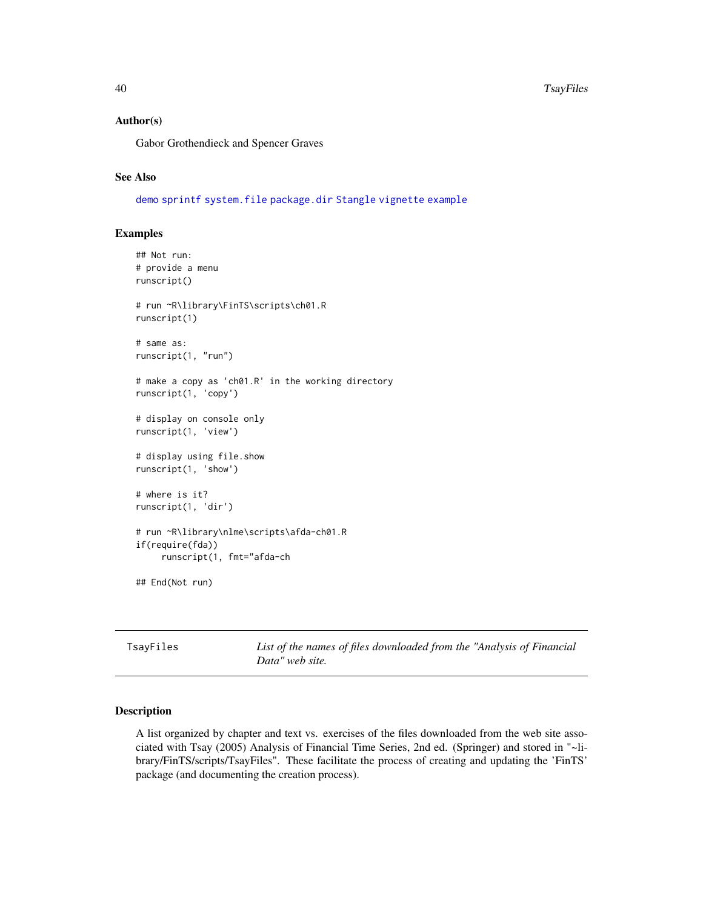#### Author(s)

Gabor Grothendieck and Spencer Graves

# See Also

[demo](#page-0-0) [sprintf](#page-0-0) [system.file](#page-0-0) [package.dir](#page-32-1) [Stangle](#page-0-0) [vignette](#page-0-0) [example](#page-0-0)

# Examples

```
## Not run:
# provide a menu
runscript()
# run ~R\library\FinTS\scripts\ch01.R
runscript(1)
# same as:
runscript(1, "run")
# make a copy as 'ch01.R' in the working directory
runscript(1, 'copy')
# display on console only
runscript(1, 'view')
# display using file.show
runscript(1, 'show')
# where is it?
runscript(1, 'dir')
# run ~R\library\nlme\scripts\afda-ch01.R
if(require(fda))
     runscript(1, fmt="afda-ch
## End(Not run)
```
TsayFiles *List of the names of files downloaded from the "Analysis of Financial Data" web site.*

# Description

A list organized by chapter and text vs. exercises of the files downloaded from the web site associated with Tsay (2005) Analysis of Financial Time Series, 2nd ed. (Springer) and stored in "~library/FinTS/scripts/TsayFiles". These facilitate the process of creating and updating the 'FinTS' package (and documenting the creation process).

<span id="page-39-0"></span>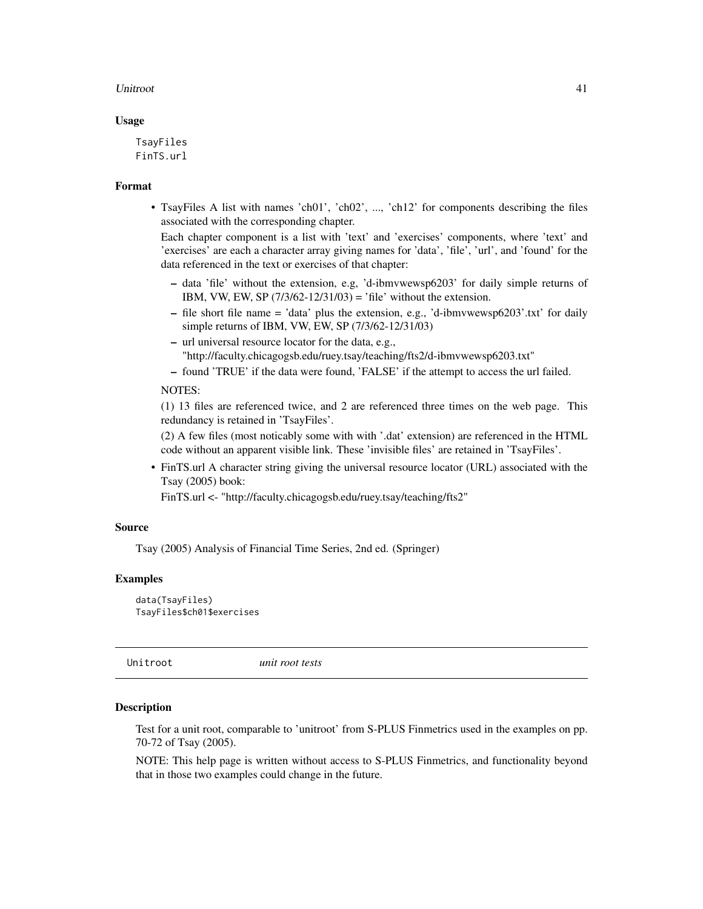#### <span id="page-40-0"></span>Unitroot 41

#### Usage

TsayFiles FinTS.url

# Format

• TsayFiles A list with names 'ch01', 'ch02', ..., 'ch12' for components describing the files associated with the corresponding chapter.

Each chapter component is a list with 'text' and 'exercises' components, where 'text' and 'exercises' are each a character array giving names for 'data', 'file', 'url', and 'found' for the data referenced in the text or exercises of that chapter:

- data 'file' without the extension, e.g, 'd-ibmvwewsp6203' for daily simple returns of IBM, VW, EW, SP  $(7/3/62 - 12/31/03) =$  'file' without the extension.
- file short file name = 'data' plus the extension, e.g., 'd-ibmvwewsp6203'.txt' for daily simple returns of IBM, VW, EW, SP (7/3/62-12/31/03)
- url universal resource locator for the data, e.g., "http://faculty.chicagogsb.edu/ruey.tsay/teaching/fts2/d-ibmvwewsp6203.txt"

– found 'TRUE' if the data were found, 'FALSE' if the attempt to access the url failed.

#### NOTES:

(1) 13 files are referenced twice, and 2 are referenced three times on the web page. This redundancy is retained in 'TsayFiles'.

(2) A few files (most noticably some with with '.dat' extension) are referenced in the HTML code without an apparent visible link. These 'invisible files' are retained in 'TsayFiles'.

• FinTS.url A character string giving the universal resource locator (URL) associated with the Tsay (2005) book:

FinTS.url <- "http://faculty.chicagogsb.edu/ruey.tsay/teaching/fts2"

#### Source

Tsay (2005) Analysis of Financial Time Series, 2nd ed. (Springer)

#### Examples

```
data(TsayFiles)
TsayFiles$ch01$exercises
```
Unitroot *unit root tests*

# Description

Test for a unit root, comparable to 'unitroot' from S-PLUS Finmetrics used in the examples on pp. 70-72 of Tsay (2005).

NOTE: This help page is written without access to S-PLUS Finmetrics, and functionality beyond that in those two examples could change in the future.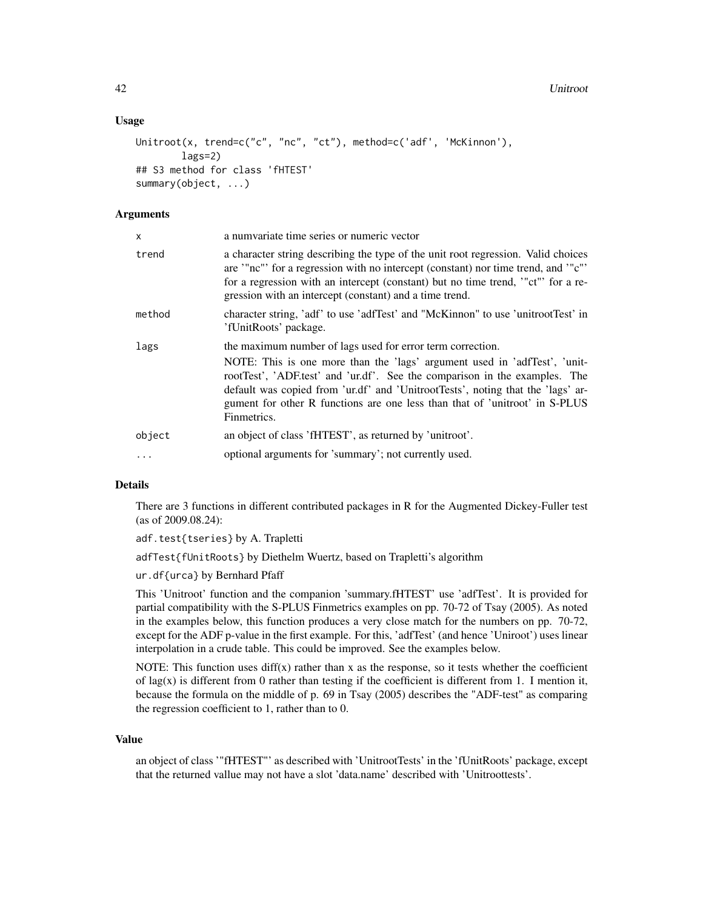#### Usage

```
Unitroot(x, trend=c("c", "nc", "ct"), method=c('adf', 'McKinnon'),
       lags=2)
## S3 method for class 'fHTEST'
summary(object, ...)
```
# Arguments

| x        | a numvariate time series or numeric vector                                                                                                                                                                                                                                                                                                                                                             |
|----------|--------------------------------------------------------------------------------------------------------------------------------------------------------------------------------------------------------------------------------------------------------------------------------------------------------------------------------------------------------------------------------------------------------|
| trend    | a character string describing the type of the unit root regression. Valid choices<br>are "nc" for a regression with no intercept (constant) nor time trend, and "c"<br>for a regression with an intercept (constant) but no time trend, "ct" for a re-<br>gression with an intercept (constant) and a time trend.                                                                                      |
| method   | character string, 'adf' to use 'adfTest' and "McKinnon" to use 'unitrootTest' in<br>'fUnitRoots' package.                                                                                                                                                                                                                                                                                              |
| lags     | the maximum number of lags used for error term correction.<br>NOTE: This is one more than the 'lags' argument used in 'adfTest', 'unit-<br>rootTest', 'ADF test' and 'ur.df'. See the comparison in the examples. The<br>default was copied from 'ur.df' and 'UnitrootTests', noting that the 'lags' ar-<br>gument for other R functions are one less than that of 'unitroot' in S-PLUS<br>Finmetrics. |
| object   | an object of class 'fHTEST', as returned by 'unitroot'.                                                                                                                                                                                                                                                                                                                                                |
| $\ddots$ | optional arguments for 'summary'; not currently used.                                                                                                                                                                                                                                                                                                                                                  |

# Details

There are 3 functions in different contributed packages in R for the Augmented Dickey-Fuller test (as of 2009.08.24):

adf.test{tseries} by A. Trapletti

adfTest{fUnitRoots} by Diethelm Wuertz, based on Trapletti's algorithm

ur.df{urca} by Bernhard Pfaff

This 'Unitroot' function and the companion 'summary.fHTEST' use 'adfTest'. It is provided for partial compatibility with the S-PLUS Finmetrics examples on pp. 70-72 of Tsay (2005). As noted in the examples below, this function produces a very close match for the numbers on pp. 70-72, except for the ADF p-value in the first example. For this, 'adfTest' (and hence 'Uniroot') uses linear interpolation in a crude table. This could be improved. See the examples below.

NOTE: This function uses  $diff(x)$  rather than x as the response, so it tests whether the coefficient of lag(x) is different from 0 rather than testing if the coefficient is different from 1. I mention it, because the formula on the middle of p. 69 in Tsay (2005) describes the "ADF-test" as comparing the regression coefficient to 1, rather than to 0.

#### Value

an object of class '"fHTEST"' as described with 'UnitrootTests' in the 'fUnitRoots' package, except that the returned vallue may not have a slot 'data.name' described with 'Unitroottests'.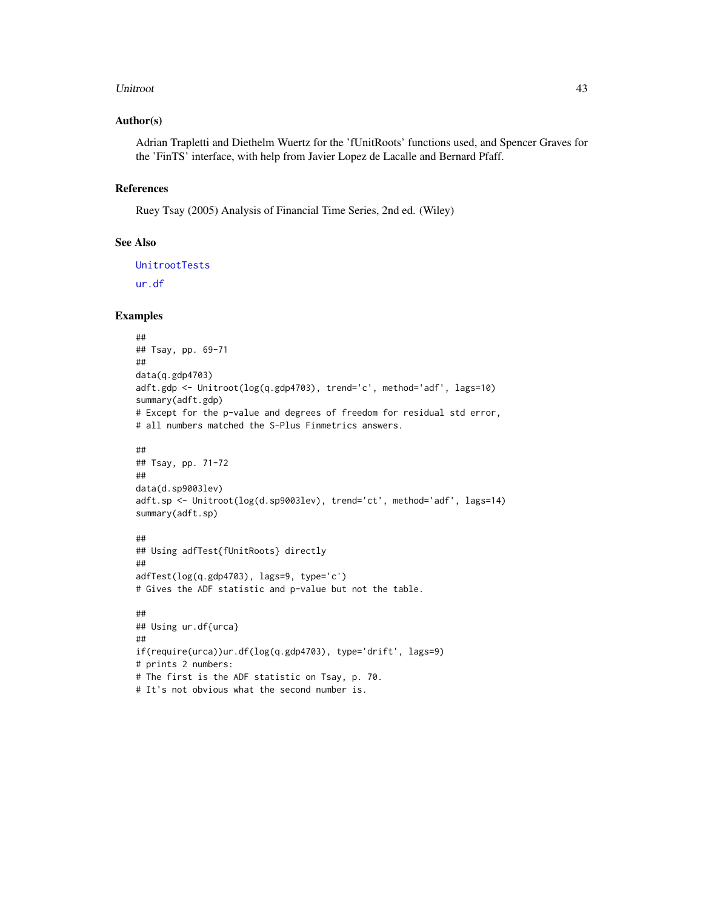#### <span id="page-42-0"></span>Unitroot 43

#### Author(s)

Adrian Trapletti and Diethelm Wuertz for the 'fUnitRoots' functions used, and Spencer Graves for the 'FinTS' interface, with help from Javier Lopez de Lacalle and Bernard Pfaff.

# References

Ruey Tsay (2005) Analysis of Financial Time Series, 2nd ed. (Wiley)

#### See Also

[UnitrootTests](#page-0-0) [ur.df](#page-0-0)

#### Examples

```
##
## Tsay, pp. 69-71
##
data(q.gdp4703)
adft.gdp <- Unitroot(log(q.gdp4703), trend='c', method='adf', lags=10)
summary(adft.gdp)
# Except for the p-value and degrees of freedom for residual std error,
# all numbers matched the S-Plus Finmetrics answers.
##
## Tsay, pp. 71-72
##
data(d.sp9003lev)
adft.sp <- Unitroot(log(d.sp9003lev), trend='ct', method='adf', lags=14)
summary(adft.sp)
##
## Using adfTest{fUnitRoots} directly
##
adfTest(log(q.gdp4703), lags=9, type='c')
# Gives the ADF statistic and p-value but not the table.
##
## Using ur.df{urca}
##
if(require(urca))ur.df(log(q.gdp4703), type='drift', lags=9)
# prints 2 numbers:
# The first is the ADF statistic on Tsay, p. 70.
# It's not obvious what the second number is.
```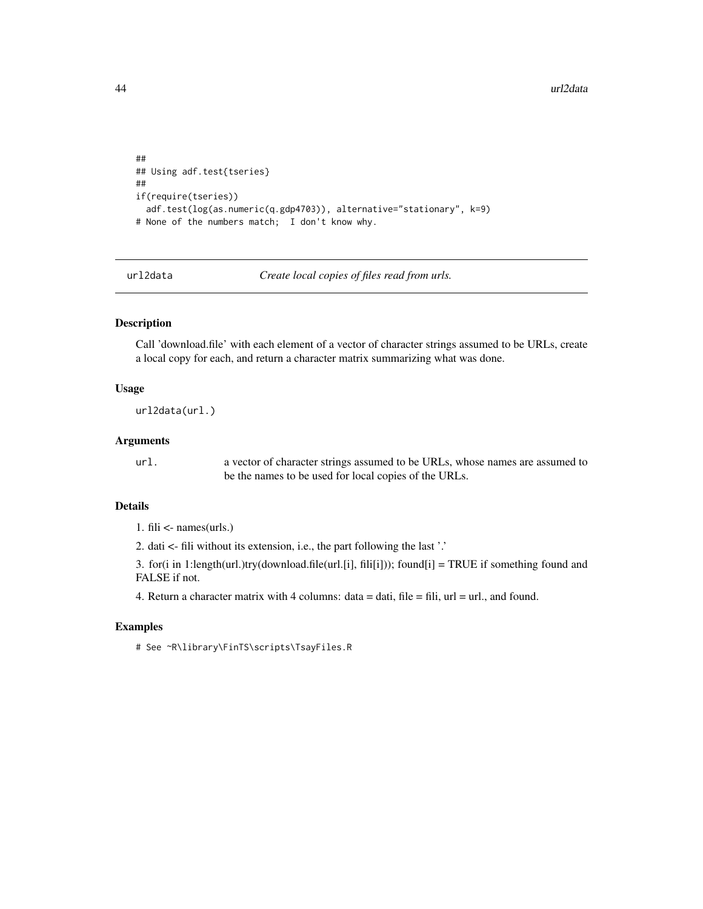```
##
## Using adf.test{tseries}
##
if(require(tseries))
 adf.test(log(as.numeric(q.gdp4703)), alternative="stationary", k=9)
# None of the numbers match; I don't know why.
```
url2data *Create local copies of files read from urls.*

# Description

Call 'download.file' with each element of a vector of character strings assumed to be URLs, create a local copy for each, and return a character matrix summarizing what was done.

# Usage

url2data(url.)

#### Arguments

url. a vector of character strings assumed to be URLs, whose names are assumed to be the names to be used for local copies of the URLs.

# Details

1. fili <- names(urls.)

2. dati <- fili without its extension, i.e., the part following the last '.'

3. for(i in 1:length(url.)try(download.file(url.[i], fili[i])); found[i] = TRUE if something found and FALSE if not.

4. Return a character matrix with 4 columns: data  $=$  dati, file  $=$  fili, url  $=$  url., and found.

#### Examples

# See ~R\library\FinTS\scripts\TsayFiles.R

<span id="page-43-0"></span>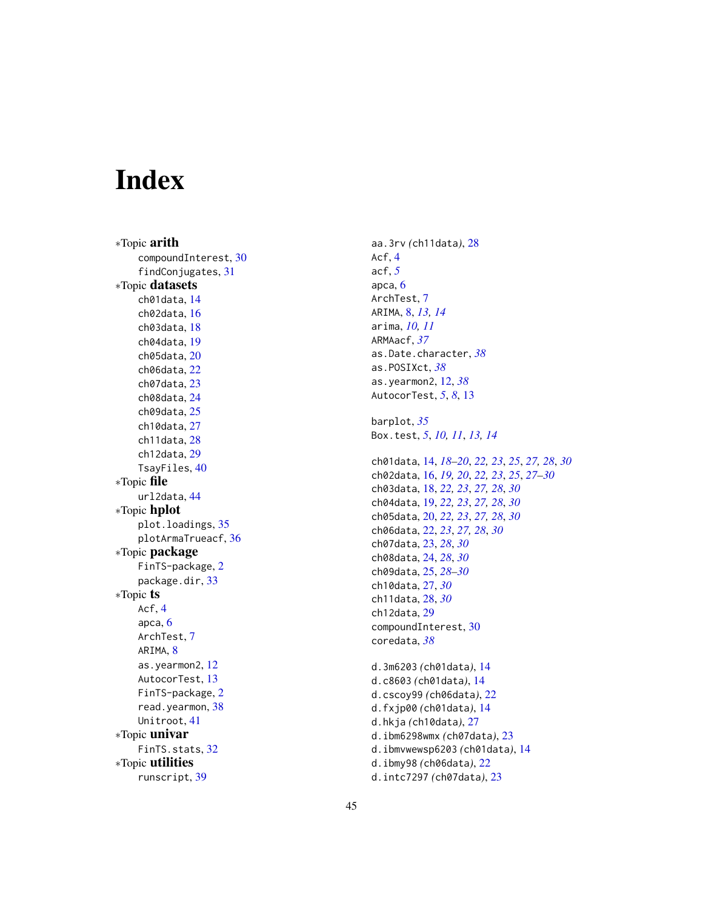# <span id="page-44-0"></span>Index

∗Topic arith compoundInterest , [30](#page-29-0) findConjugates , [31](#page-30-0) ∗Topic datasets ch01data , [14](#page-13-0) ch02data , [16](#page-15-0) ch03data , [18](#page-17-0) ch04data , [19](#page-18-0) ch05data , [20](#page-19-0) ch06data , [22](#page-21-0) ch07data , [23](#page-22-0) ch08data , [24](#page-23-0) ch09data , [25](#page-24-0) ch10data , [27](#page-26-0) ch11data , [28](#page-27-0) ch12data , [29](#page-28-0) TsayFiles , [40](#page-39-0) ∗Topic file url2data , [44](#page-43-0) ∗Topic hplot plot.loadings, [35](#page-34-0) plotArmaTrueacf , [36](#page-35-0) ∗Topic package FinTS-package, [2](#page-1-0) package.dir , [33](#page-32-0) ∗Topic ts Acf , [4](#page-3-0) apca , [6](#page-5-0) ArchTest , [7](#page-6-0) ARIMA, [8](#page-7-0) as.yearmon2 , [12](#page-11-0) AutocorTest, [13](#page-12-0) FinTS-package , [2](#page-1-0) read.yearmon, [38](#page-37-0) Unitroot , [41](#page-40-0) ∗Topic univar FinTS.stats, [32](#page-31-0) ∗Topic utilities runscript , [39](#page-38-0)

aa.3rv *(*ch11data *)* , [28](#page-27-0) Acf , [4](#page-3-0) acf , *[5](#page-4-0)* apca , [6](#page-5-0) ArchTest , [7](#page-6-0) ARIMA , [8](#page-7-0) , *[13](#page-12-0) , [14](#page-13-0)* arima , *[10](#page-9-0) , [11](#page-10-0)* ARMAacf , *[37](#page-36-0)* as.Date.character , *[38](#page-37-0)* as.POSIXct , *[38](#page-37-0)* as.yearmon2 , [12](#page-11-0) , *[38](#page-37-0)* AutocorTest , *[5](#page-4-0)* , *[8](#page-7-0)* , [13](#page-12-0) barplot , *[35](#page-34-0)* Box.test , *[5](#page-4-0)* , *[10](#page-9-0) , [11](#page-10-0)* , *[13](#page-12-0) , [14](#page-13-0)* ch01data , [14](#page-13-0) , *[18](#page-17-0) [–20](#page-19-0)* , *[22](#page-21-0) , [23](#page-22-0)* , *[25](#page-24-0)* , *[27,](#page-26-0) [28](#page-27-0)* , *[30](#page-29-0)* ch02data , [16](#page-15-0) , *[19](#page-18-0) , [20](#page-19-0)* , *[22](#page-21-0) , [23](#page-22-0)* , *[25](#page-24-0)* , *[27](#page-26-0)[–30](#page-29-0)* ch03data , [18](#page-17-0) , *[22](#page-21-0) , [23](#page-22-0)* , *[27,](#page-26-0) [28](#page-27-0)* , *[30](#page-29-0)* ch04data , [19](#page-18-0) , *[22](#page-21-0) , [23](#page-22-0)* , *[27,](#page-26-0) [28](#page-27-0)* , *[30](#page-29-0)* ch05data , [20](#page-19-0) , *[22](#page-21-0) , [23](#page-22-0)* , *[27,](#page-26-0) [28](#page-27-0)* , *[30](#page-29-0)* ch06data , [22](#page-21-0) , *[23](#page-22-0)* , *[27,](#page-26-0) [28](#page-27-0)* , *[30](#page-29-0)* ch07data , [23](#page-22-0) , *[28](#page-27-0)* , *[30](#page-29-0)* ch08data , [24](#page-23-0) , *[28](#page-27-0)* , *[30](#page-29-0)* ch09data , [25](#page-24-0) , *[28](#page-27-0) [–30](#page-29-0)* ch10data , [27](#page-26-0) , *[30](#page-29-0)* ch11data , [28](#page-27-0) , *[30](#page-29-0)* ch12data , [29](#page-28-0) compoundInterest , [30](#page-29-0) coredata , *[38](#page-37-0)* d.3m6203 *(*ch01data *)* , [14](#page-13-0) d.c8603 *(*ch01data *)* , [14](#page-13-0) d.cscoy99 *(*ch06data *)* , [22](#page-21-0) d.fxjp00 *(*ch01data *)* , [14](#page-13-0) d.hkja *(*ch10data *)* , [27](#page-26-0) d.ibm6298wmx *(*ch07data *)* , [23](#page-22-0) d.ibmvwewsp6203 *(*ch01data *)* , [14](#page-13-0) d.ibmy98 *(*ch06data *)* , [22](#page-21-0) d.intc7297 *(*ch07data *)* , [23](#page-22-0)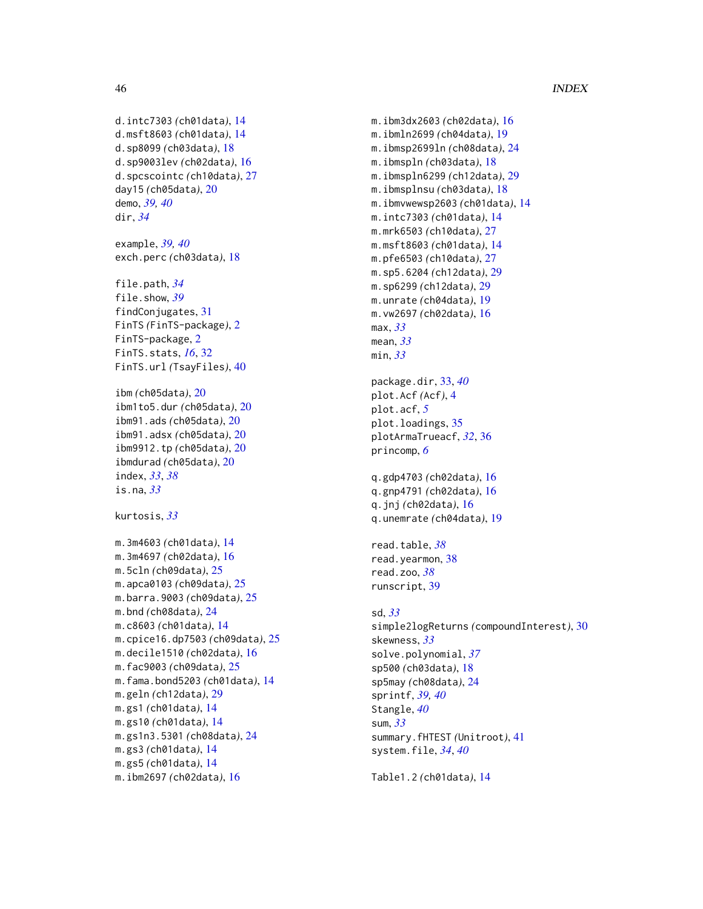# 46 INDEX

```
d.intc7303 (ch01data), 14
d.msft8603 (ch01data), 14
d.sp8099 (ch03data), 18
d.sp9003lev (ch02data), 16
d.spcscointc (ch10data), 27
day15 (ch05data), 20
demo, 39, 40
dir, 34
example, 39, 40
exch.perc (ch03data), 18
file.path, 34
file.show, 39
findConjugates, 31
FinTS (FinTS-package), 2
FinTS-package, 2
FinTS.stats, 16, 32
FinTS.url (TsayFiles), 40
ibm (ch05data), 20
ibm1to5.dur (ch05data), 20
ibm91.ads (ch05data), 20
ibm91.adsx (ch05data), 20
ibm9912.tp (ch05data), 20
ibmdurad (ch05data), 20
index, 33, 38
is.na, 33
kurtosis, 33
m.3m4603 (ch01data), 14
m.3m4697 (ch02data), 16
m.5cln (ch09data), 25
m.apca0103 (ch09data), 25
m.barra.9003 (ch09data), 25
m.bnd (ch08data), 24
m.c8603 (ch01data), 14
m.cpice16.dp7503 (ch09data), 25
m.decile1510 (ch02data), 16
m.fac9003 (ch09data), 25
m.fama.bond5203 (ch01data), 14
m.geln (ch12data), 29
m.gs1 (ch01data), 14
m.gs10 (ch01data), 14
m.gs1n3.5301 (ch08data), 24
m.gs3 (ch01data), 14
m.gs5 (ch01data), 14
m.ibm2697 (ch02data), 16
```
m.ibm3dx2603 *(*ch02data*)*, [16](#page-15-0) m.ibmln2699 *(*ch04data*)*, [19](#page-18-0) m.ibmsp2699ln *(*ch08data*)*, [24](#page-23-0) m.ibmspln *(*ch03data*)*, [18](#page-17-0) m.ibmspln6299 *(*ch12data*)*, [29](#page-28-0) m.ibmsplnsu *(*ch03data*)*, [18](#page-17-0) m.ibmvwewsp2603 *(*ch01data*)*, [14](#page-13-0) m.intc7303 *(*ch01data*)*, [14](#page-13-0) m.mrk6503 *(*ch10data*)*, [27](#page-26-0) m.msft8603 *(*ch01data*)*, [14](#page-13-0) m.pfe6503 *(*ch10data*)*, [27](#page-26-0) m.sp5.6204 *(*ch12data*)*, [29](#page-28-0) m.sp6299 *(*ch12data*)*, [29](#page-28-0) m.unrate *(*ch04data*)*, [19](#page-18-0) m.vw2697 *(*ch02data*)*, [16](#page-15-0) max, *[33](#page-32-0)* mean, *[33](#page-32-0)* min, *[33](#page-32-0)* package.dir, [33,](#page-32-0) *[40](#page-39-0)* plot.Acf *(*Acf*)*, [4](#page-3-0) plot.acf, *[5](#page-4-0)* plot.loadings, [35](#page-34-0) plotArmaTrueacf, *[32](#page-31-0)*, [36](#page-35-0) princomp, *[6](#page-5-0)* q.gdp4703 *(*ch02data*)*, [16](#page-15-0) q.gnp4791 *(*ch02data*)*, [16](#page-15-0) q.jnj *(*ch02data*)*, [16](#page-15-0) q.unemrate *(*ch04data*)*, [19](#page-18-0) read.table, *[38](#page-37-0)* read.yearmon, [38](#page-37-0) read.zoo, *[38](#page-37-0)* runscript, [39](#page-38-0) sd, *[33](#page-32-0)* simple2logReturns *(*compoundInterest*)*, [30](#page-29-0) skewness, *[33](#page-32-0)* solve.polynomial, *[37](#page-36-0)* sp500 *(*ch03data*)*, [18](#page-17-0) sp5may *(*ch08data*)*, [24](#page-23-0) sprintf, *[39,](#page-38-0) [40](#page-39-0)* Stangle, *[40](#page-39-0)* sum, *[33](#page-32-0)* summary.fHTEST *(*Unitroot*)*, [41](#page-40-0) system.file, *[34](#page-33-0)*, *[40](#page-39-0)* Table1.2 *(*ch01data*)*, [14](#page-13-0)